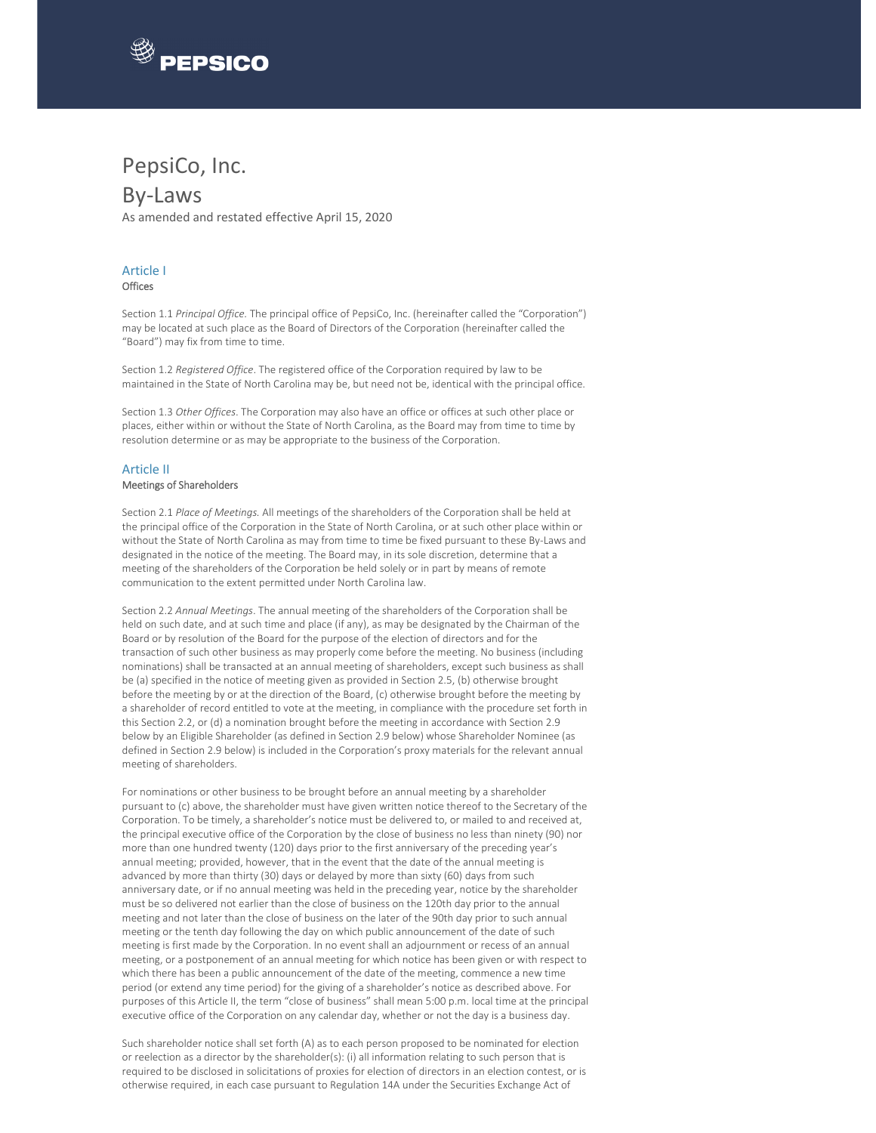

## PepsiCo, Inc.

### By‐Laws

As amended and restated effective April 15, 2020

#### Article I

**Offices** 

Section 1.1 *Principal Office.* The principal office of PepsiCo, Inc. (hereinafter called the "Corporation") may be located at such place as the Board of Directors of the Corporation (hereinafter called the "Board") may fix from time to time.

Section 1.2 *Registered Office*. The registered office of the Corporation required by law to be maintained in the State of North Carolina may be, but need not be, identical with the principal office.

Section 1.3 *Other Offices*. The Corporation may also have an office or offices at such other place or places, either within or without the State of North Carolina, as the Board may from time to time by resolution determine or as may be appropriate to the business of the Corporation.

#### Article II Meetings of Shareholders

#### Section 2.1 *Place of Meetings.* All meetings of the shareholders of the Corporation shall be held at the principal office of the Corporation in the State of North Carolina, or at such other place within or without the State of North Carolina as may from time to time be fixed pursuant to these By‐Laws and designated in the notice of the meeting. The Board may, in its sole discretion, determine that a meeting of the shareholders of the Corporation be held solely or in part by means of remote communication to the extent permitted under North Carolina law.

Section 2.2 *Annual Meetings*. The annual meeting of the shareholders of the Corporation shall be held on such date, and at such time and place (if any), as may be designated by the Chairman of the Board or by resolution of the Board for the purpose of the election of directors and for the transaction of such other business as may properly come before the meeting. No business (including nominations) shall be transacted at an annual meeting of shareholders, except such business as shall be (a) specified in the notice of meeting given as provided in Section 2.5, (b) otherwise brought before the meeting by or at the direction of the Board, (c) otherwise brought before the meeting by a shareholder of record entitled to vote at the meeting, in compliance with the procedure set forth in this Section 2.2, or (d) a nomination brought before the meeting in accordance with Section 2.9 below by an Eligible Shareholder (as defined in Section 2.9 below) whose Shareholder Nominee (as defined in Section 2.9 below) is included in the Corporation's proxy materials for the relevant annual meeting of shareholders.

For nominations or other business to be brought before an annual meeting by a shareholder pursuant to (c) above, the shareholder must have given written notice thereof to the Secretary of the Corporation. To be timely, a shareholder's notice must be delivered to, or mailed to and received at, the principal executive office of the Corporation by the close of business no less than ninety (90) nor more than one hundred twenty (120) days prior to the first anniversary of the preceding year's annual meeting; provided, however, that in the event that the date of the annual meeting is advanced by more than thirty (30) days or delayed by more than sixty (60) days from such anniversary date, or if no annual meeting was held in the preceding year, notice by the shareholder must be so delivered not earlier than the close of business on the 120th day prior to the annual meeting and not later than the close of business on the later of the 90th day prior to such annual meeting or the tenth day following the day on which public announcement of the date of such meeting is first made by the Corporation. In no event shall an adjournment or recess of an annual meeting, or a postponement of an annual meeting for which notice has been given or with respect to which there has been a public announcement of the date of the meeting, commence a new time period (or extend any time period) for the giving of a shareholder's notice as described above. For purposes of this Article II, the term "close of business" shall mean 5:00 p.m. local time at the principal executive office of the Corporation on any calendar day, whether or not the day is a business day.

Such shareholder notice shall set forth (A) as to each person proposed to be nominated for election or reelection as a director by the shareholder(s): (i) all information relating to such person that is required to be disclosed in solicitations of proxies for election of directors in an election contest, or is otherwise required, in each case pursuant to Regulation 14A under the Securities Exchange Act of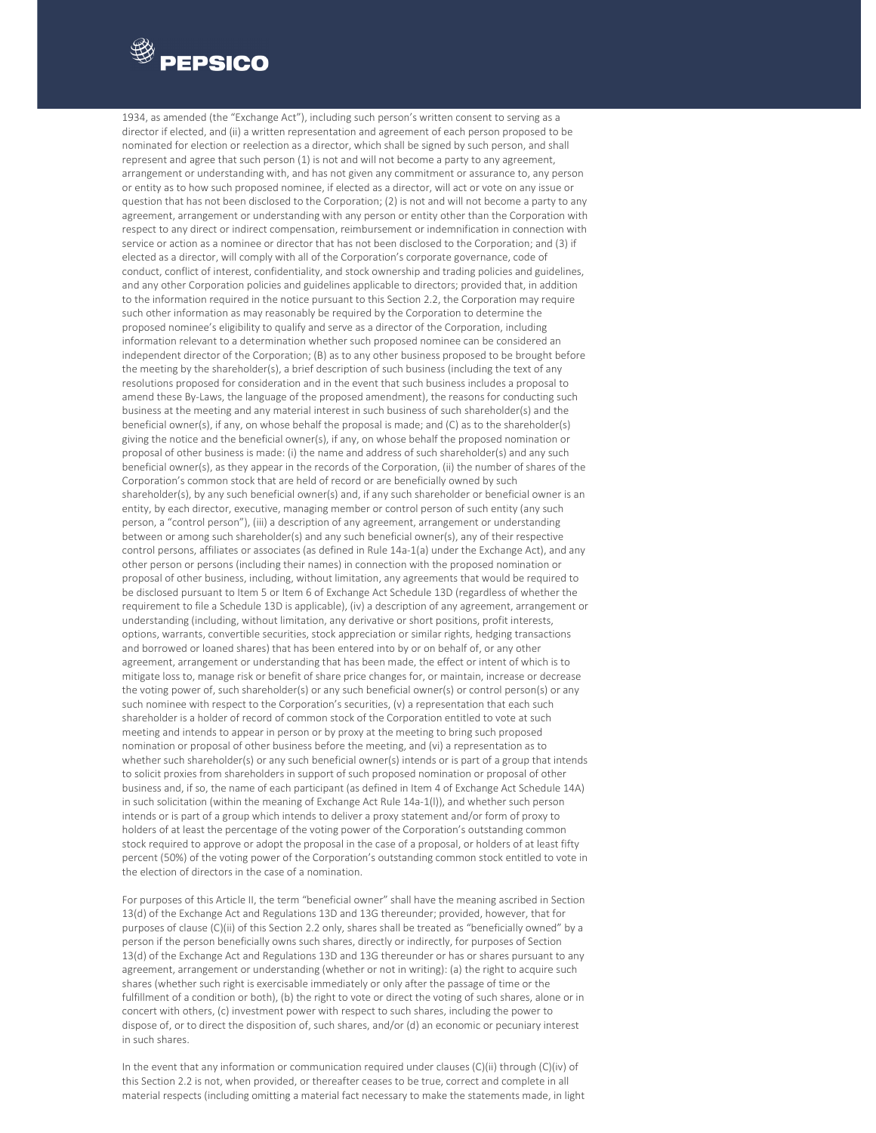

 1934, as amended (the "Exchange Act"), including such person's written consent to serving as a director if elected, and (ii) a written representation and agreement of each person proposed to be nominated for election or reelection as a director, which shall be signed by such person, and shall represent and agree that such person (1) is not and will not become a party to any agreement, arrangement or understanding with, and has not given any commitment or assurance to, any person or entity as to how such proposed nominee, if elected as a director, will act or vote on any issue or question that has not been disclosed to the Corporation; (2) is not and will not become a party to any agreement, arrangement or understanding with any person or entity other than the Corporation with respect to any direct or indirect compensation, reimbursement or indemnification in connection with service or action as a nominee or director that has not been disclosed to the Corporation; and (3) if elected as a director, will comply with all of the Corporation's corporate governance, code of conduct, conflict of interest, confidentiality, and stock ownership and trading policies and guidelines, and any other Corporation policies and guidelines applicable to directors; provided that, in addition to the information required in the notice pursuant to this Section 2.2, the Corporation may require such other information as may reasonably be required by the Corporation to determine the proposed nominee's eligibility to qualify and serve as a director of the Corporation, including information relevant to a determination whether such proposed nominee can be considered an independent director of the Corporation; (B) as to any other business proposed to be brought before the meeting by the shareholder(s), a brief description of such business (including the text of any resolutions proposed for consideration and in the event that such business includes a proposal to amend these By-Laws, the language of the proposed amendment), the reasons for conducting such business at the meeting and any material interest in such business of such shareholder(s) and the beneficial owner(s), if any, on whose behalf the proposal is made; and (C) as to the shareholder(s) giving the notice and the beneficial owner(s), if any, on whose behalf the proposed nomination or proposal of other business is made: (i) the name and address of such shareholder(s) and any such beneficial owner(s), as they appear in the records of the Corporation, (ii) the number of shares of the Corporation's common stock that are held of record or are beneficially owned by such shareholder(s), by any such beneficial owner(s) and, if any such shareholder or beneficial owner is an entity, by each director, executive, managing member or control person of such entity (any such person, a "control person"), (iii) a description of any agreement, arrangement or understanding between or among such shareholder(s) and any such beneficial owner(s), any of their respective control persons, affiliates or associates (as defined in Rule 14a-1(a) under the Exchange Act), and any other person or persons (including their names) in connection with the proposed nomination or proposal of other business, including, without limitation, any agreements that would be required to be disclosed pursuant to Item 5 or Item 6 of Exchange Act Schedule 13D (regardless of whether the requirement to file a Schedule 13D is applicable), (iv) a description of any agreement, arrangement or understanding (including, without limitation, any derivative or short positions, profit interests, options, warrants, convertible securities, stock appreciation or similar rights, hedging transactions and borrowed or loaned shares) that has been entered into by or on behalf of, or any other agreement, arrangement or understanding that has been made, the effect or intent of which is to mitigate loss to, manage risk or benefit of share price changes for, or maintain, increase or decrease the voting power of, such shareholder(s) or any such beneficial owner(s) or control person(s) or any such nominee with respect to the Corporation's securities, (v) a representation that each such shareholder is a holder of record of common stock of the Corporation entitled to vote at such meeting and intends to appear in person or by proxy at the meeting to bring such proposed nomination or proposal of other business before the meeting, and (vi) a representation as to whether such shareholder(s) or any such beneficial owner(s) intends or is part of a group that intends to solicit proxies from shareholders in support of such proposed nomination or proposal of other business and, if so, the name of each participant (as defined in Item 4 of Exchange Act Schedule 14A) in such solicitation (within the meaning of Exchange Act Rule 14a-1(I)), and whether such person intends or is part of a group which intends to deliver a proxy statement and/or form of proxy to holders of at least the percentage of the voting power of the Corporation's outstanding common stock required to approve or adopt the proposal in the case of a proposal, or holders of at least fifty percent (50%) of the voting power of the Corporation's outstanding common stock entitled to vote in the election of directors in the case of a nomination.

For purposes of this Article II, the term "beneficial owner" shall have the meaning ascribed in Section 13(d) of the Exchange Act and Regulations 13D and 13G thereunder; provided, however, that for purposes of clause (C)(ii) of this Section 2.2 only, shares shall be treated as "beneficially owned" by a person if the person beneficially owns such shares, directly or indirectly, for purposes of Section 13(d) of the Exchange Act and Regulations 13D and 13G thereunder or has or shares pursuant to any agreement, arrangement or understanding (whether or not in writing): (a) the right to acquire such shares (whether such right is exercisable immediately or only after the passage of time or the fulfillment of a condition or both), (b) the right to vote or direct the voting of such shares, alone or in concert with others, (c) investment power with respect to such shares, including the power to dispose of, or to direct the disposition of, such shares, and/or (d) an economic or pecuniary interest in such shares.

In the event that any information or communication required under clauses (C)(ii) through (C)(iv) of this Section 2.2 is not, when provided, or thereafter ceases to be true, correct and complete in all material respects (including omitting a material fact necessary to make the statements made, in light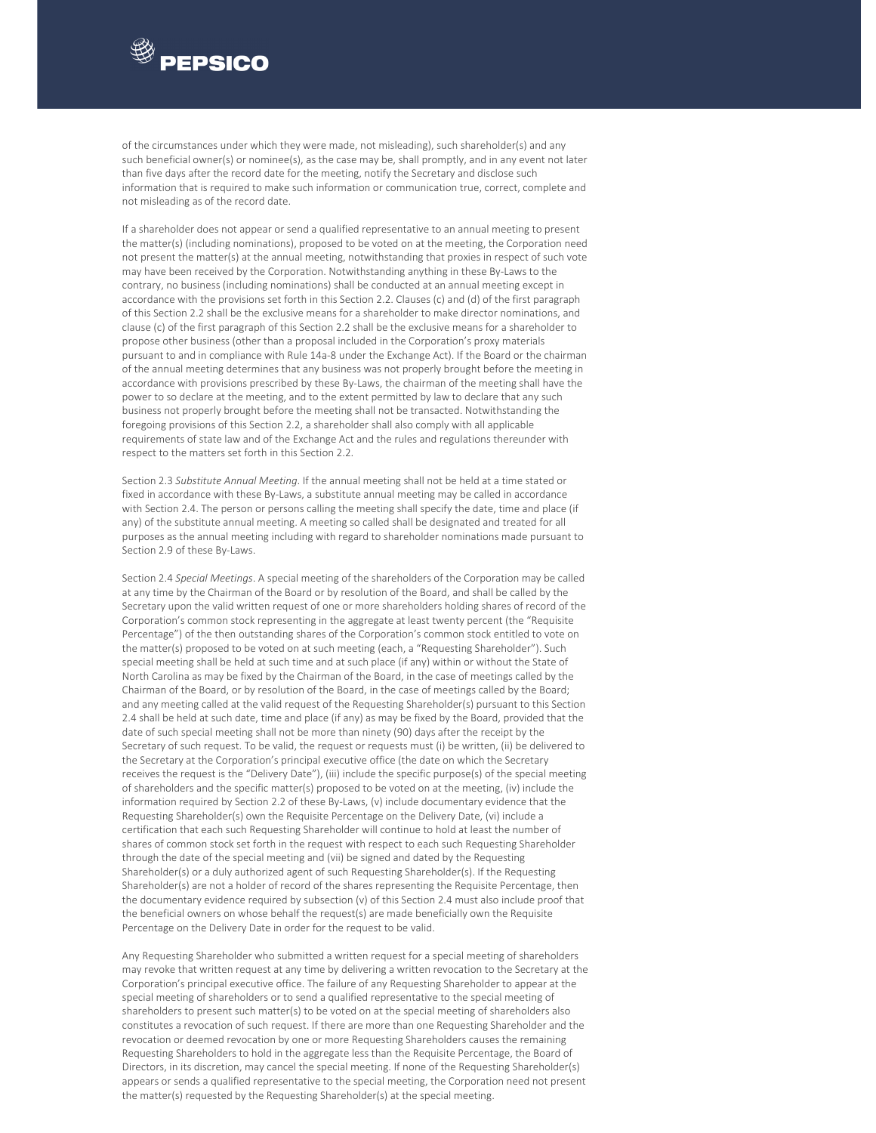

of the circumstances under which they were made, not misleading), such shareholder(s) and any such beneficial owner(s) or nominee(s), as the case may be, shall promptly, and in any event not later than five days after the record date for the meeting, notify the Secretary and disclose such information that is required to make such information or communication true, correct, complete and not misleading as of the record date.

If a shareholder does not appear or send a qualified representative to an annual meeting to present the matter(s) (including nominations), proposed to be voted on at the meeting, the Corporation need not present the matter(s) at the annual meeting, notwithstanding that proxies in respect of such vote may have been received by the Corporation. Notwithstanding anything in these By‐Laws to the contrary, no business (including nominations) shall be conducted at an annual meeting except in accordance with the provisions set forth in this Section 2.2. Clauses (c) and (d) of the first paragraph of this Section 2.2 shall be the exclusive means for a shareholder to make director nominations, and clause (c) of the first paragraph of this Section 2.2 shall be the exclusive means for a shareholder to propose other business (other than a proposal included in the Corporation's proxy materials pursuant to and in compliance with Rule 14a‐8 under the Exchange Act). If the Board or the chairman of the annual meeting determines that any business was not properly brought before the meeting in accordance with provisions prescribed by these By-Laws, the chairman of the meeting shall have the power to so declare at the meeting, and to the extent permitted by law to declare that any such business not properly brought before the meeting shall not be transacted. Notwithstanding the foregoing provisions of this Section 2.2, a shareholder shall also comply with all applicable requirements of state law and of the Exchange Act and the rules and regulations thereunder with respect to the matters set forth in this Section 2.2.

Section 2.3 *Substitute Annual Meeting*. If the annual meeting shall not be held at a time stated or fixed in accordance with these By‐Laws, a substitute annual meeting may be called in accordance with Section 2.4. The person or persons calling the meeting shall specify the date, time and place (if any) of the substitute annual meeting. A meeting so called shall be designated and treated for all purposes as the annual meeting including with regard to shareholder nominations made pursuant to Section 2.9 of these By‐Laws.

Section 2.4 *Special Meetings*. A special meeting of the shareholders of the Corporation may be called at any time by the Chairman of the Board or by resolution of the Board, and shall be called by the Secretary upon the valid written request of one or more shareholders holding shares of record of the Corporation's common stock representing in the aggregate at least twenty percent (the "Requisite Percentage") of the then outstanding shares of the Corporation's common stock entitled to vote on the matter(s) proposed to be voted on at such meeting (each, a "Requesting Shareholder"). Such special meeting shall be held at such time and at such place (if any) within or without the State of North Carolina as may be fixed by the Chairman of the Board, in the case of meetings called by the Chairman of the Board, or by resolution of the Board, in the case of meetings called by the Board; and any meeting called at the valid request of the Requesting Shareholder(s) pursuant to this Section 2.4 shall be held at such date, time and place (if any) as may be fixed by the Board, provided that the date of such special meeting shall not be more than ninety (90) days after the receipt by the Secretary of such request. To be valid, the request or requests must (i) be written, (ii) be delivered to the Secretary at the Corporation's principal executive office (the date on which the Secretary receives the request is the "Delivery Date"), (iii) include the specific purpose(s) of the special meeting of shareholders and the specific matter(s) proposed to be voted on at the meeting, (iv) include the information required by Section 2.2 of these By‐Laws, (v) include documentary evidence that the Requesting Shareholder(s) own the Requisite Percentage on the Delivery Date, (vi) include a certification that each such Requesting Shareholder will continue to hold at least the number of shares of common stock set forth in the request with respect to each such Requesting Shareholder through the date of the special meeting and (vii) be signed and dated by the Requesting Shareholder(s) or a duly authorized agent of such Requesting Shareholder(s). If the Requesting Shareholder(s) are not a holder of record of the shares representing the Requisite Percentage, then the documentary evidence required by subsection (v) of this Section 2.4 must also include proof that the beneficial owners on whose behalf the request(s) are made beneficially own the Requisite Percentage on the Delivery Date in order for the request to be valid.

Any Requesting Shareholder who submitted a written request for a special meeting of shareholders may revoke that written request at any time by delivering a written revocation to the Secretary at the Corporation's principal executive office. The failure of any Requesting Shareholder to appear at the special meeting of shareholders or to send a qualified representative to the special meeting of shareholders to present such matter(s) to be voted on at the special meeting of shareholders also constitutes a revocation of such request. If there are more than one Requesting Shareholder and the revocation or deemed revocation by one or more Requesting Shareholders causes the remaining Requesting Shareholders to hold in the aggregate less than the Requisite Percentage, the Board of Directors, in its discretion, may cancel the special meeting. If none of the Requesting Shareholder(s) appears or sends a qualified representative to the special meeting, the Corporation need not present the matter(s) requested by the Requesting Shareholder(s) at the special meeting.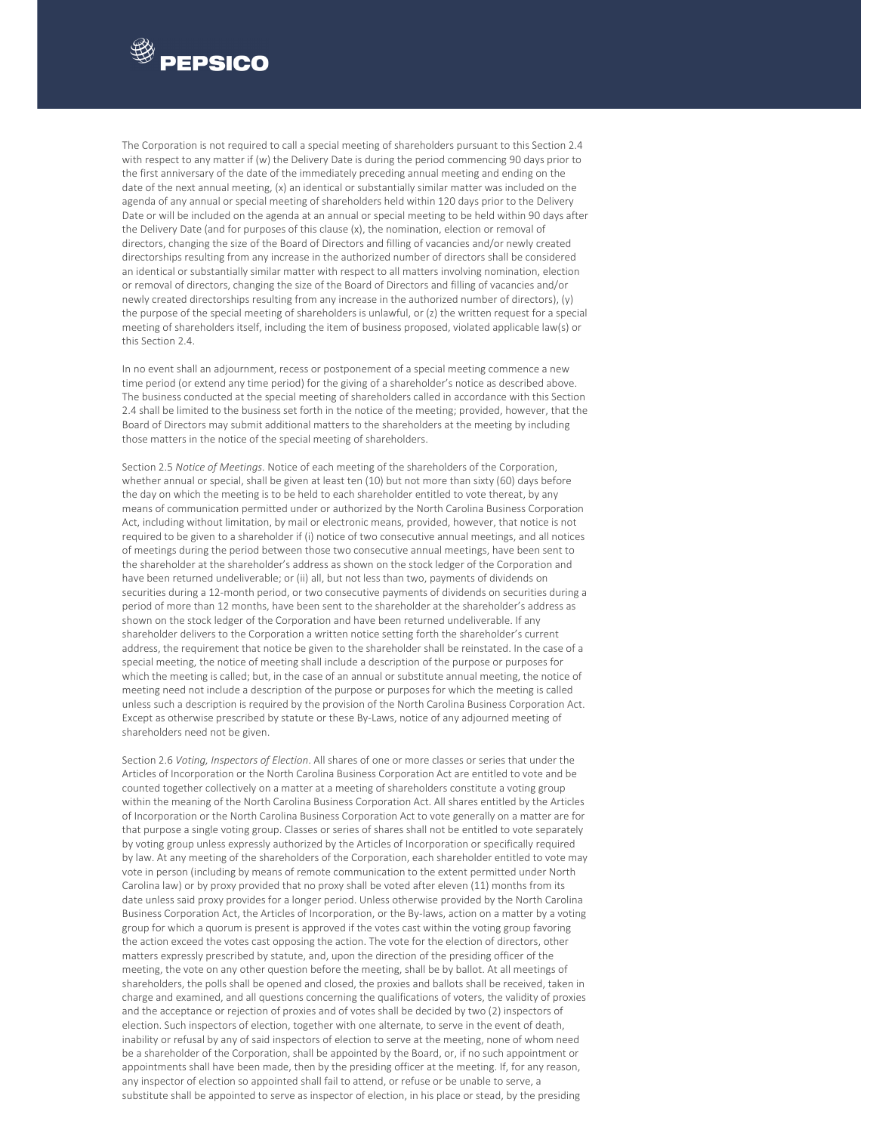

The Corporation is not required to call a special meeting of shareholders pursuant to this Section 2.4 with respect to any matter if (w) the Delivery Date is during the period commencing 90 days prior to the first anniversary of the date of the immediately preceding annual meeting and ending on the date of the next annual meeting, (x) an identical or substantially similar matter was included on the agenda of any annual or special meeting of shareholders held within 120 days prior to the Delivery Date or will be included on the agenda at an annual or special meeting to be held within 90 days after the Delivery Date (and for purposes of this clause (x), the nomination, election or removal of directors, changing the size of the Board of Directors and filling of vacancies and/or newly created directorships resulting from any increase in the authorized number of directors shall be considered an identical or substantially similar matter with respect to all matters involving nomination, election or removal of directors, changing the size of the Board of Directors and filling of vacancies and/or newly created directorships resulting from any increase in the authorized number of directors), (y) the purpose of the special meeting of shareholders is unlawful, or (z) the written request for a special meeting of shareholders itself, including the item of business proposed, violated applicable law(s) or this Section 2.4.

In no event shall an adjournment, recess or postponement of a special meeting commence a new time period (or extend any time period) for the giving of a shareholder's notice as described above. The business conducted at the special meeting of shareholders called in accordance with this Section 2.4 shall be limited to the business set forth in the notice of the meeting; provided, however, that the Board of Directors may submit additional matters to the shareholders at the meeting by including those matters in the notice of the special meeting of shareholders.

Section 2.5 *Notice of Meetings*. Notice of each meeting of the shareholders of the Corporation, whether annual or special, shall be given at least ten (10) but not more than sixty (60) days before the day on which the meeting is to be held to each shareholder entitled to vote thereat, by any means of communication permitted under or authorized by the North Carolina Business Corporation Act, including without limitation, by mail or electronic means, provided, however, that notice is not required to be given to a shareholder if (i) notice of two consecutive annual meetings, and all notices of meetings during the period between those two consecutive annual meetings, have been sent to the shareholder at the shareholder's address as shown on the stock ledger of the Corporation and have been returned undeliverable; or (ii) all, but not less than two, payments of dividends on securities during a 12‐month period, or two consecutive payments of dividends on securities during a period of more than 12 months, have been sent to the shareholder at the shareholder's address as shown on the stock ledger of the Corporation and have been returned undeliverable. If any shareholder delivers to the Corporation a written notice setting forth the shareholder's current address, the requirement that notice be given to the shareholder shall be reinstated. In the case of a special meeting, the notice of meeting shall include a description of the purpose or purposes for which the meeting is called; but, in the case of an annual or substitute annual meeting, the notice of meeting need not include a description of the purpose or purposes for which the meeting is called unless such a description is required by the provision of the North Carolina Business Corporation Act. Except as otherwise prescribed by statute or these By‐Laws, notice of any adjourned meeting of shareholders need not be given.

Section 2.6 *Voting, Inspectors of Election*. All shares of one or more classes or series that under the Articles of Incorporation or the North Carolina Business Corporation Act are entitled to vote and be counted together collectively on a matter at a meeting of shareholders constitute a voting group within the meaning of the North Carolina Business Corporation Act. All shares entitled by the Articles of Incorporation or the North Carolina Business Corporation Act to vote generally on a matter are for that purpose a single voting group. Classes or series of shares shall not be entitled to vote separately by voting group unless expressly authorized by the Articles of Incorporation or specifically required by law. At any meeting of the shareholders of the Corporation, each shareholder entitled to vote may vote in person (including by means of remote communication to the extent permitted under North Carolina law) or by proxy provided that no proxy shall be voted after eleven (11) months from its date unless said proxy provides for a longer period. Unless otherwise provided by the North Carolina Business Corporation Act, the Articles of Incorporation, or the By‐laws, action on a matter by a voting group for which a quorum is present is approved if the votes cast within the voting group favoring the action exceed the votes cast opposing the action. The vote for the election of directors, other matters expressly prescribed by statute, and, upon the direction of the presiding officer of the meeting, the vote on any other question before the meeting, shall be by ballot. At all meetings of shareholders, the polls shall be opened and closed, the proxies and ballots shall be received, taken in charge and examined, and all questions concerning the qualifications of voters, the validity of proxies and the acceptance or rejection of proxies and of votes shall be decided by two (2) inspectors of election. Such inspectors of election, together with one alternate, to serve in the event of death, inability or refusal by any of said inspectors of election to serve at the meeting, none of whom need be a shareholder of the Corporation, shall be appointed by the Board, or, if no such appointment or appointments shall have been made, then by the presiding officer at the meeting. If, for any reason, any inspector of election so appointed shall fail to attend, or refuse or be unable to serve, a substitute shall be appointed to serve as inspector of election, in his place or stead, by the presiding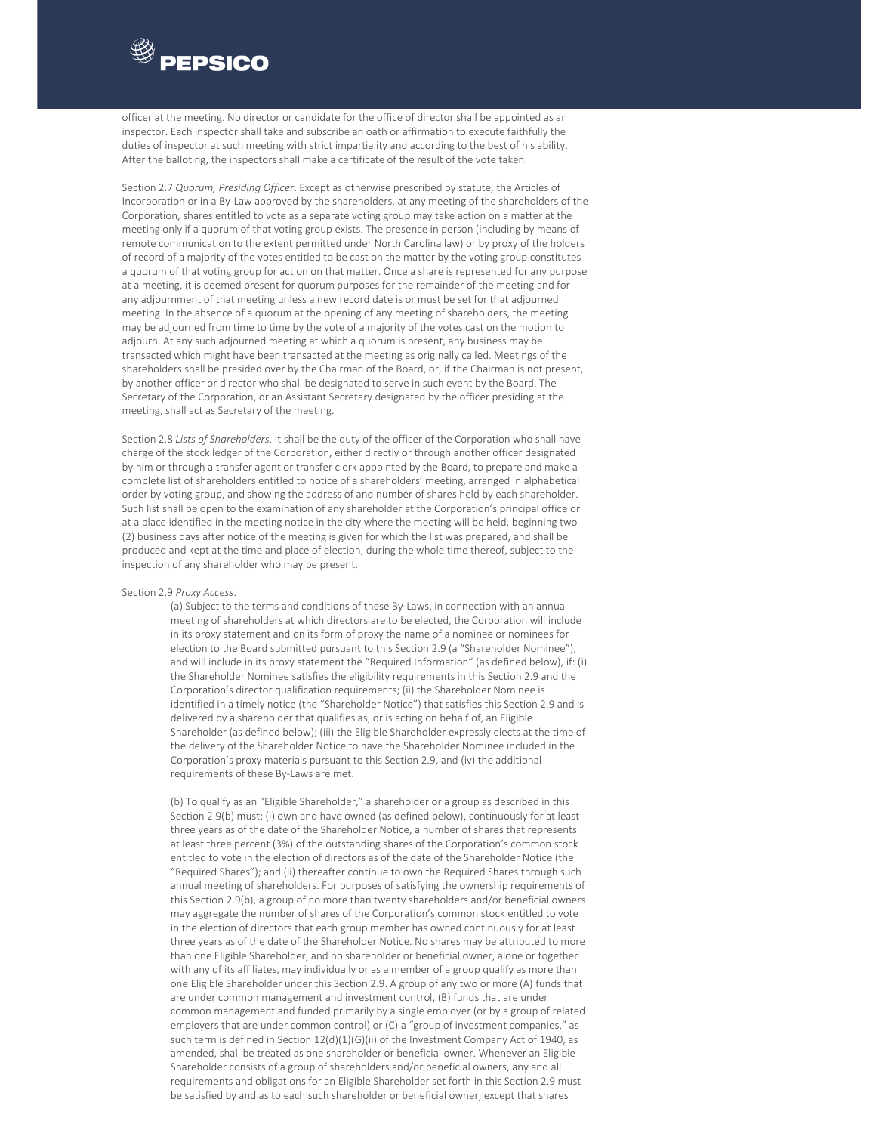

officer at the meeting. No director or candidate for the office of director shall be appointed as an inspector. Each inspector shall take and subscribe an oath or affirmation to execute faithfully the duties of inspector at such meeting with strict impartiality and according to the best of his ability. After the balloting, the inspectors shall make a certificate of the result of the vote taken.

Section 2.7 *Quorum, Presiding Officer*. Except as otherwise prescribed by statute, the Articles of Incorporation or in a By-Law approved by the shareholders, at any meeting of the shareholders of the Corporation, shares entitled to vote as a separate voting group may take action on a matter at the meeting only if a quorum of that voting group exists. The presence in person (including by means of remote communication to the extent permitted under North Carolina law) or by proxy of the holders of record of a majority of the votes entitled to be cast on the matter by the voting group constitutes a quorum of that voting group for action on that matter. Once a share is represented for any purpose at a meeting, it is deemed present for quorum purposes for the remainder of the meeting and for any adjournment of that meeting unless a new record date is or must be set for that adjourned meeting. In the absence of a quorum at the opening of any meeting of shareholders, the meeting may be adjourned from time to time by the vote of a majority of the votes cast on the motion to adjourn. At any such adjourned meeting at which a quorum is present, any business may be transacted which might have been transacted at the meeting as originally called. Meetings of the shareholders shall be presided over by the Chairman of the Board, or, if the Chairman is not present, by another officer or director who shall be designated to serve in such event by the Board. The Secretary of the Corporation, or an Assistant Secretary designated by the officer presiding at the meeting, shall act as Secretary of the meeting.

Section 2.8 *Lists of Shareholders*. It shall be the duty of the officer of the Corporation who shall have charge of the stock ledger of the Corporation, either directly or through another officer designated by him or through a transfer agent or transfer clerk appointed by the Board, to prepare and make a complete list of shareholders entitled to notice of a shareholders' meeting, arranged in alphabetical order by voting group, and showing the address of and number of shares held by each shareholder. Such list shall be open to the examination of any shareholder at the Corporation's principal office or at a place identified in the meeting notice in the city where the meeting will be held, beginning two (2) business days after notice of the meeting is given for which the list was prepared, and shall be produced and kept at the time and place of election, during the whole time thereof, subject to the inspection of any shareholder who may be present.

#### Section 2.9 *Proxy Access*.

(a) Subject to the terms and conditions of these By‐Laws, in connection with an annual meeting of shareholders at which directors are to be elected, the Corporation will include in its proxy statement and on its form of proxy the name of a nominee or nominees for election to the Board submitted pursuant to this Section 2.9 (a "Shareholder Nominee"), and will include in its proxy statement the "Required Information" (as defined below), if: (i) the Shareholder Nominee satisfies the eligibility requirements in this Section 2.9 and the Corporation's director qualification requirements; (ii) the Shareholder Nominee is identified in a timely notice (the "Shareholder Notice") that satisfies this Section 2.9 and is delivered by a shareholder that qualifies as, or is acting on behalf of, an Eligible Shareholder (as defined below); (iii) the Eligible Shareholder expressly elects at the time of the delivery of the Shareholder Notice to have the Shareholder Nominee included in the Corporation's proxy materials pursuant to this Section 2.9, and (iv) the additional requirements of these By‐Laws are met.

(b) To qualify as an "Eligible Shareholder," a shareholder or a group as described in this Section 2.9(b) must: (i) own and have owned (as defined below), continuously for at least three years as of the date of the Shareholder Notice, a number of shares that represents at least three percent (3%) of the outstanding shares of the Corporation's common stock entitled to vote in the election of directors as of the date of the Shareholder Notice (the "Required Shares"); and (ii) thereafter continue to own the Required Shares through such annual meeting of shareholders. For purposes of satisfying the ownership requirements of this Section 2.9(b), a group of no more than twenty shareholders and/or beneficial owners may aggregate the number of shares of the Corporation's common stock entitled to vote in the election of directors that each group member has owned continuously for at least three years as of the date of the Shareholder Notice. No shares may be attributed to more than one Eligible Shareholder, and no shareholder or beneficial owner, alone or together with any of its affiliates, may individually or as a member of a group qualify as more than one Eligible Shareholder under this Section 2.9. A group of any two or more (A) funds that are under common management and investment control, (B) funds that are under common management and funded primarily by a single employer (or by a group of related employers that are under common control) or (C) a "group of investment companies," as such term is defined in Section 12(d)(1)(G)(ii) of the Investment Company Act of 1940, as amended, shall be treated as one shareholder or beneficial owner. Whenever an Eligible Shareholder consists of a group of shareholders and/or beneficial owners, any and all requirements and obligations for an Eligible Shareholder set forth in this Section 2.9 must be satisfied by and as to each such shareholder or beneficial owner, except that shares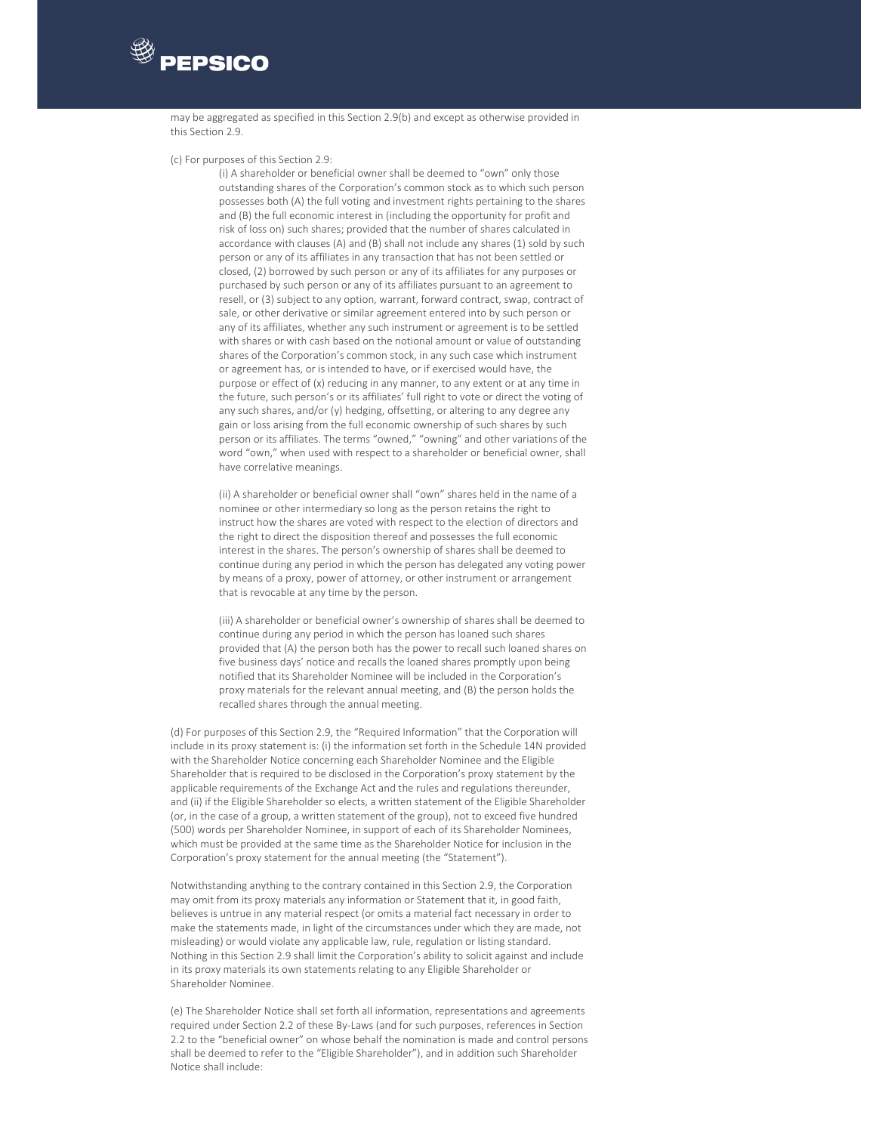

may be aggregated as specified in this Section 2.9(b) and except as otherwise provided in this Section 2.9.

#### (c) For purposes of this Section 2.9:

(i) A shareholder or beneficial owner shall be deemed to "own" only those outstanding shares of the Corporation's common stock as to which such person possesses both (A) the full voting and investment rights pertaining to the shares and (B) the full economic interest in (including the opportunity for profit and risk of loss on) such shares; provided that the number of shares calculated in accordance with clauses (A) and (B) shall not include any shares (1) sold by such person or any of its affiliates in any transaction that has not been settled or closed, (2) borrowed by such person or any of its affiliates for any purposes or purchased by such person or any of its affiliates pursuant to an agreement to resell, or (3) subject to any option, warrant, forward contract, swap, contract of sale, or other derivative or similar agreement entered into by such person or any of its affiliates, whether any such instrument or agreement is to be settled with shares or with cash based on the notional amount or value of outstanding shares of the Corporation's common stock, in any such case which instrument or agreement has, or is intended to have, or if exercised would have, the purpose or effect of (x) reducing in any manner, to any extent or at any time in the future, such person's or its affiliates' full right to vote or direct the voting of any such shares, and/or (y) hedging, offsetting, or altering to any degree any gain or loss arising from the full economic ownership of such shares by such person or its affiliates. The terms "owned," "owning" and other variations of the word "own," when used with respect to a shareholder or beneficial owner, shall have correlative meanings.

(ii) A shareholder or beneficial owner shall "own" shares held in the name of a nominee or other intermediary so long as the person retains the right to instruct how the shares are voted with respect to the election of directors and the right to direct the disposition thereof and possesses the full economic interest in the shares. The person's ownership of shares shall be deemed to continue during any period in which the person has delegated any voting power by means of a proxy, power of attorney, or other instrument or arrangement that is revocable at any time by the person.

(iii) A shareholder or beneficial owner's ownership of shares shall be deemed to continue during any period in which the person has loaned such shares provided that (A) the person both has the power to recall such loaned shares on five business days' notice and recalls the loaned shares promptly upon being notified that its Shareholder Nominee will be included in the Corporation's proxy materials for the relevant annual meeting, and (B) the person holds the recalled shares through the annual meeting.

(d) For purposes of this Section 2.9, the "Required Information" that the Corporation will include in its proxy statement is: (i) the information set forth in the Schedule 14N provided with the Shareholder Notice concerning each Shareholder Nominee and the Eligible Shareholder that is required to be disclosed in the Corporation's proxy statement by the applicable requirements of the Exchange Act and the rules and regulations thereunder, and (ii) if the Eligible Shareholder so elects, a written statement of the Eligible Shareholder (or, in the case of a group, a written statement of the group), not to exceed five hundred (500) words per Shareholder Nominee, in support of each of its Shareholder Nominees, which must be provided at the same time as the Shareholder Notice for inclusion in the Corporation's proxy statement for the annual meeting (the "Statement").

Notwithstanding anything to the contrary contained in this Section 2.9, the Corporation may omit from its proxy materials any information or Statement that it, in good faith, believes is untrue in any material respect (or omits a material fact necessary in order to make the statements made, in light of the circumstances under which they are made, not misleading) or would violate any applicable law, rule, regulation or listing standard. Nothing in this Section 2.9 shall limit the Corporation's ability to solicit against and include in its proxy materials its own statements relating to any Eligible Shareholder or Shareholder Nominee.

(e) The Shareholder Notice shall set forth all information, representations and agreements required under Section 2.2 of these By‐Laws (and for such purposes, references in Section 2.2 to the "beneficial owner" on whose behalf the nomination is made and control persons shall be deemed to refer to the "Eligible Shareholder"), and in addition such Shareholder Notice shall include: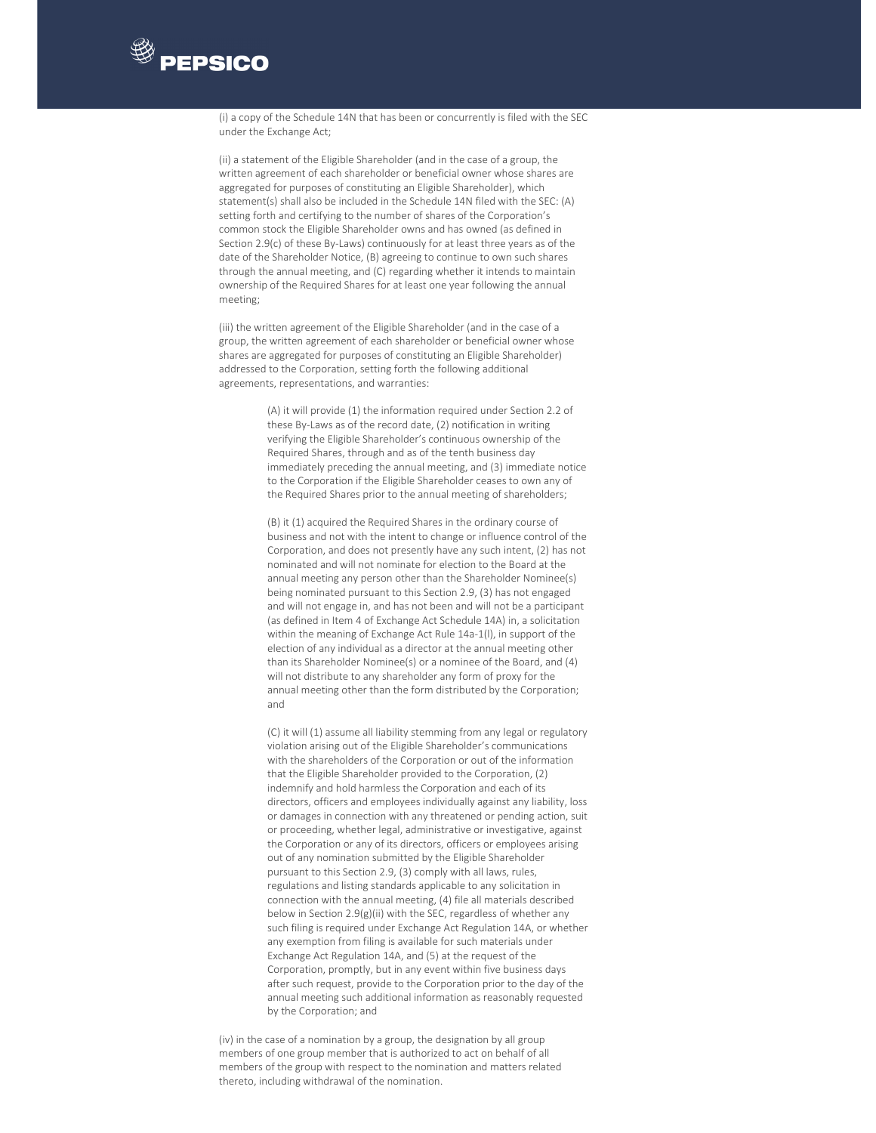# **PEPSICO**

(i) a copy of the Schedule 14N that has been or concurrently is filed with the SEC under the Exchange Act;

(ii) a statement of the Eligible Shareholder (and in the case of a group, the written agreement of each shareholder or beneficial owner whose shares are aggregated for purposes of constituting an Eligible Shareholder), which statement(s) shall also be included in the Schedule 14N filed with the SEC: (A) setting forth and certifying to the number of shares of the Corporation's common stock the Eligible Shareholder owns and has owned (as defined in Section 2.9(c) of these By-Laws) continuously for at least three years as of the date of the Shareholder Notice, (B) agreeing to continue to own such shares through the annual meeting, and (C) regarding whether it intends to maintain ownership of the Required Shares for at least one year following the annual meeting;

(iii) the written agreement of the Eligible Shareholder (and in the case of a group, the written agreement of each shareholder or beneficial owner whose shares are aggregated for purposes of constituting an Eligible Shareholder) addressed to the Corporation, setting forth the following additional agreements, representations, and warranties:

> (A) it will provide (1) the information required under Section 2.2 of these By‐Laws as of the record date, (2) notification in writing verifying the Eligible Shareholder's continuous ownership of the Required Shares, through and as of the tenth business day immediately preceding the annual meeting, and (3) immediate notice to the Corporation if the Eligible Shareholder ceases to own any of the Required Shares prior to the annual meeting of shareholders;

> (B) it (1) acquired the Required Shares in the ordinary course of business and not with the intent to change or influence control of the Corporation, and does not presently have any such intent, (2) has not nominated and will not nominate for election to the Board at the annual meeting any person other than the Shareholder Nominee(s) being nominated pursuant to this Section 2.9, (3) has not engaged and will not engage in, and has not been and will not be a participant (as defined in Item 4 of Exchange Act Schedule 14A) in, a solicitation within the meaning of Exchange Act Rule 14a-1(I), in support of the election of any individual as a director at the annual meeting other than its Shareholder Nominee(s) or a nominee of the Board, and (4) will not distribute to any shareholder any form of proxy for the annual meeting other than the form distributed by the Corporation; and

> (C) it will (1) assume all liability stemming from any legal or regulatory violation arising out of the Eligible Shareholder's communications with the shareholders of the Corporation or out of the information that the Eligible Shareholder provided to the Corporation, (2) indemnify and hold harmless the Corporation and each of its directors, officers and employees individually against any liability, loss or damages in connection with any threatened or pending action, suit or proceeding, whether legal, administrative or investigative, against the Corporation or any of its directors, officers or employees arising out of any nomination submitted by the Eligible Shareholder pursuant to this Section 2.9, (3) comply with all laws, rules, regulations and listing standards applicable to any solicitation in connection with the annual meeting, (4) file all materials described below in Section 2.9(g)(ii) with the SEC, regardless of whether any such filing is required under Exchange Act Regulation 14A, or whether any exemption from filing is available for such materials under Exchange Act Regulation 14A, and (5) at the request of the Corporation, promptly, but in any event within five business days after such request, provide to the Corporation prior to the day of the annual meeting such additional information as reasonably requested by the Corporation; and

(iv) in the case of a nomination by a group, the designation by all group members of one group member that is authorized to act on behalf of all members of the group with respect to the nomination and matters related thereto, including withdrawal of the nomination.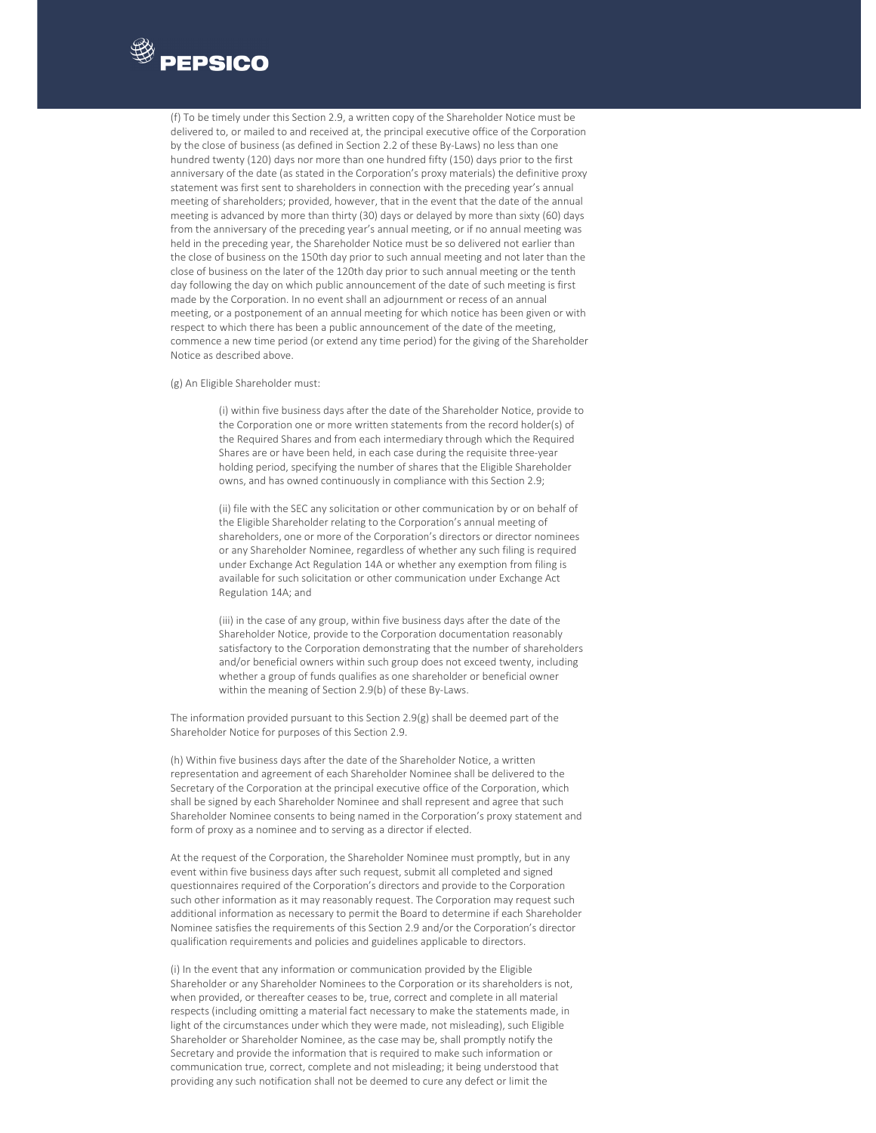

(f) To be timely under this Section 2.9, a written copy of the Shareholder Notice must be delivered to, or mailed to and received at, the principal executive office of the Corporation by the close of business (as defined in Section 2.2 of these By‐Laws) no less than one hundred twenty (120) days nor more than one hundred fifty (150) days prior to the first anniversary of the date (as stated in the Corporation's proxy materials) the definitive proxy statement was first sent to shareholders in connection with the preceding year's annual meeting of shareholders; provided, however, that in the event that the date of the annual meeting is advanced by more than thirty (30) days or delayed by more than sixty (60) days from the anniversary of the preceding year's annual meeting, or if no annual meeting was held in the preceding year, the Shareholder Notice must be so delivered not earlier than the close of business on the 150th day prior to such annual meeting and not later than the close of business on the later of the 120th day prior to such annual meeting or the tenth day following the day on which public announcement of the date of such meeting is first made by the Corporation. In no event shall an adjournment or recess of an annual meeting, or a postponement of an annual meeting for which notice has been given or with respect to which there has been a public announcement of the date of the meeting, commence a new time period (or extend any time period) for the giving of the Shareholder Notice as described above.

(g) An Eligible Shareholder must:

(i) within five business days after the date of the Shareholder Notice, provide to the Corporation one or more written statements from the record holder(s) of the Required Shares and from each intermediary through which the Required Shares are or have been held, in each case during the requisite three‐year holding period, specifying the number of shares that the Eligible Shareholder owns, and has owned continuously in compliance with this Section 2.9;

(ii) file with the SEC any solicitation or other communication by or on behalf of the Eligible Shareholder relating to the Corporation's annual meeting of shareholders, one or more of the Corporation's directors or director nominees or any Shareholder Nominee, regardless of whether any such filing is required under Exchange Act Regulation 14A or whether any exemption from filing is available for such solicitation or other communication under Exchange Act Regulation 14A; and

(iii) in the case of any group, within five business days after the date of the Shareholder Notice, provide to the Corporation documentation reasonably satisfactory to the Corporation demonstrating that the number of shareholders and/or beneficial owners within such group does not exceed twenty, including whether a group of funds qualifies as one shareholder or beneficial owner within the meaning of Section 2.9(b) of these By‐Laws.

The information provided pursuant to this Section 2.9(g) shall be deemed part of the Shareholder Notice for purposes of this Section 2.9.

(h) Within five business days after the date of the Shareholder Notice, a written representation and agreement of each Shareholder Nominee shall be delivered to the Secretary of the Corporation at the principal executive office of the Corporation, which shall be signed by each Shareholder Nominee and shall represent and agree that such Shareholder Nominee consents to being named in the Corporation's proxy statement and form of proxy as a nominee and to serving as a director if elected.

At the request of the Corporation, the Shareholder Nominee must promptly, but in any event within five business days after such request, submit all completed and signed questionnaires required of the Corporation's directors and provide to the Corporation such other information as it may reasonably request. The Corporation may request such additional information as necessary to permit the Board to determine if each Shareholder Nominee satisfies the requirements of this Section 2.9 and/or the Corporation's director qualification requirements and policies and guidelines applicable to directors.

(i) In the event that any information or communication provided by the Eligible Shareholder or any Shareholder Nominees to the Corporation or its shareholders is not, when provided, or thereafter ceases to be, true, correct and complete in all material respects (including omitting a material fact necessary to make the statements made, in light of the circumstances under which they were made, not misleading), such Eligible Shareholder or Shareholder Nominee, as the case may be, shall promptly notify the Secretary and provide the information that is required to make such information or communication true, correct, complete and not misleading; it being understood that providing any such notification shall not be deemed to cure any defect or limit the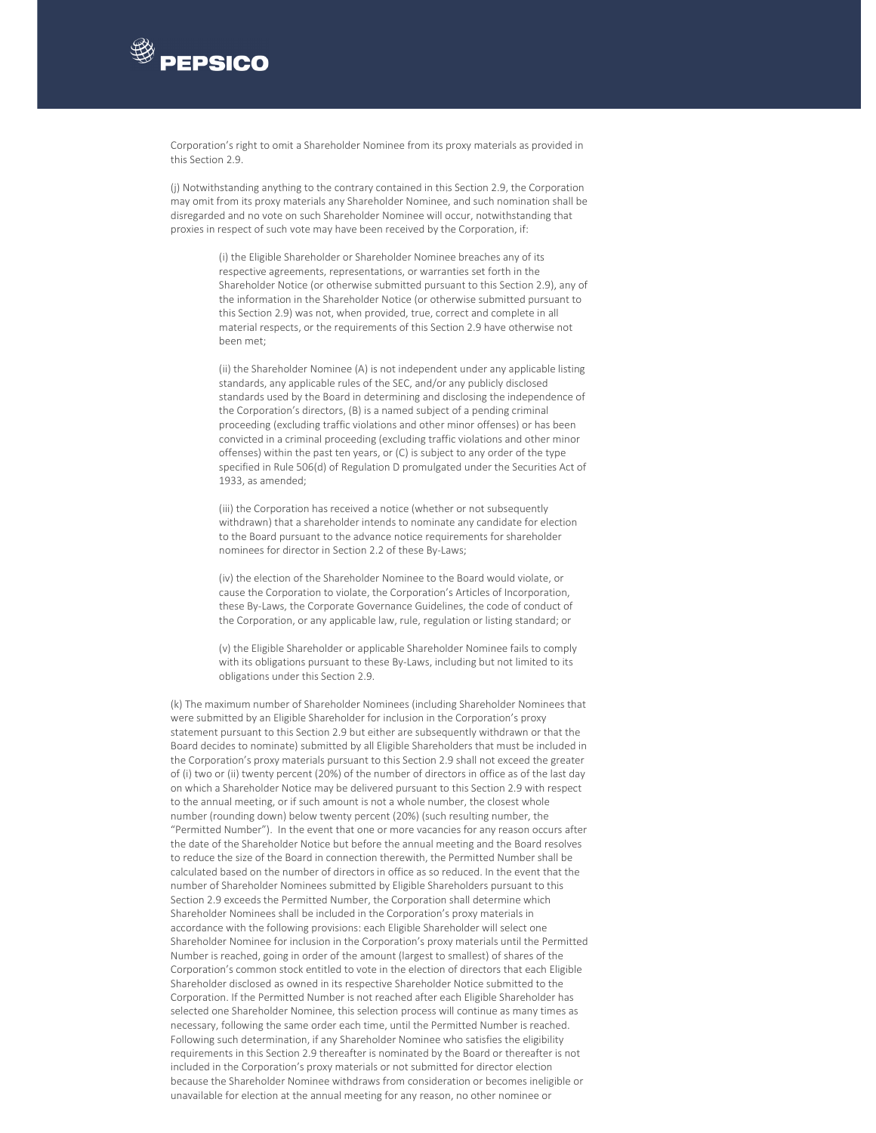

Corporation's right to omit a Shareholder Nominee from its proxy materials as provided in this Section 2.9.

(j) Notwithstanding anything to the contrary contained in this Section 2.9, the Corporation may omit from its proxy materials any Shareholder Nominee, and such nomination shall be disregarded and no vote on such Shareholder Nominee will occur, notwithstanding that proxies in respect of such vote may have been received by the Corporation, if:

> (i) the Eligible Shareholder or Shareholder Nominee breaches any of its respective agreements, representations, or warranties set forth in the Shareholder Notice (or otherwise submitted pursuant to this Section 2.9), any of the information in the Shareholder Notice (or otherwise submitted pursuant to this Section 2.9) was not, when provided, true, correct and complete in all material respects, or the requirements of this Section 2.9 have otherwise not been met;

> (ii) the Shareholder Nominee (A) is not independent under any applicable listing standards, any applicable rules of the SEC, and/or any publicly disclosed standards used by the Board in determining and disclosing the independence of the Corporation's directors, (B) is a named subject of a pending criminal proceeding (excluding traffic violations and other minor offenses) or has been convicted in a criminal proceeding (excluding traffic violations and other minor offenses) within the past ten years, or (C) is subject to any order of the type specified in Rule 506(d) of Regulation D promulgated under the Securities Act of 1933, as amended;

(iii) the Corporation has received a notice (whether or not subsequently withdrawn) that a shareholder intends to nominate any candidate for election to the Board pursuant to the advance notice requirements for shareholder nominees for director in Section 2.2 of these By‐Laws;

(iv) the election of the Shareholder Nominee to the Board would violate, or cause the Corporation to violate, the Corporation's Articles of Incorporation, these By‐Laws, the Corporate Governance Guidelines, the code of conduct of the Corporation, or any applicable law, rule, regulation or listing standard; or

(v) the Eligible Shareholder or applicable Shareholder Nominee fails to comply with its obligations pursuant to these By‐Laws, including but not limited to its obligations under this Section 2.9.

(k) The maximum number of Shareholder Nominees (including Shareholder Nominees that were submitted by an Eligible Shareholder for inclusion in the Corporation's proxy statement pursuant to this Section 2.9 but either are subsequently withdrawn or that the Board decides to nominate) submitted by all Eligible Shareholders that must be included in the Corporation's proxy materials pursuant to this Section 2.9 shall not exceed the greater of (i) two or (ii) twenty percent (20%) of the number of directors in office as of the last day on which a Shareholder Notice may be delivered pursuant to this Section 2.9 with respect to the annual meeting, or if such amount is not a whole number, the closest whole number (rounding down) below twenty percent (20%) (such resulting number, the "Permitted Number"). In the event that one or more vacancies for any reason occurs after the date of the Shareholder Notice but before the annual meeting and the Board resolves to reduce the size of the Board in connection therewith, the Permitted Number shall be calculated based on the number of directors in office as so reduced. In the event that the number of Shareholder Nominees submitted by Eligible Shareholders pursuant to this Section 2.9 exceeds the Permitted Number, the Corporation shall determine which Shareholder Nominees shall be included in the Corporation's proxy materials in accordance with the following provisions: each Eligible Shareholder will select one Shareholder Nominee for inclusion in the Corporation's proxy materials until the Permitted Number is reached, going in order of the amount (largest to smallest) of shares of the Corporation's common stock entitled to vote in the election of directors that each Eligible Shareholder disclosed as owned in its respective Shareholder Notice submitted to the Corporation. If the Permitted Number is not reached after each Eligible Shareholder has selected one Shareholder Nominee, this selection process will continue as many times as necessary, following the same order each time, until the Permitted Number is reached. Following such determination, if any Shareholder Nominee who satisfies the eligibility requirements in this Section 2.9 thereafter is nominated by the Board or thereafter is not included in the Corporation's proxy materials or not submitted for director election because the Shareholder Nominee withdraws from consideration or becomes ineligible or unavailable for election at the annual meeting for any reason, no other nominee or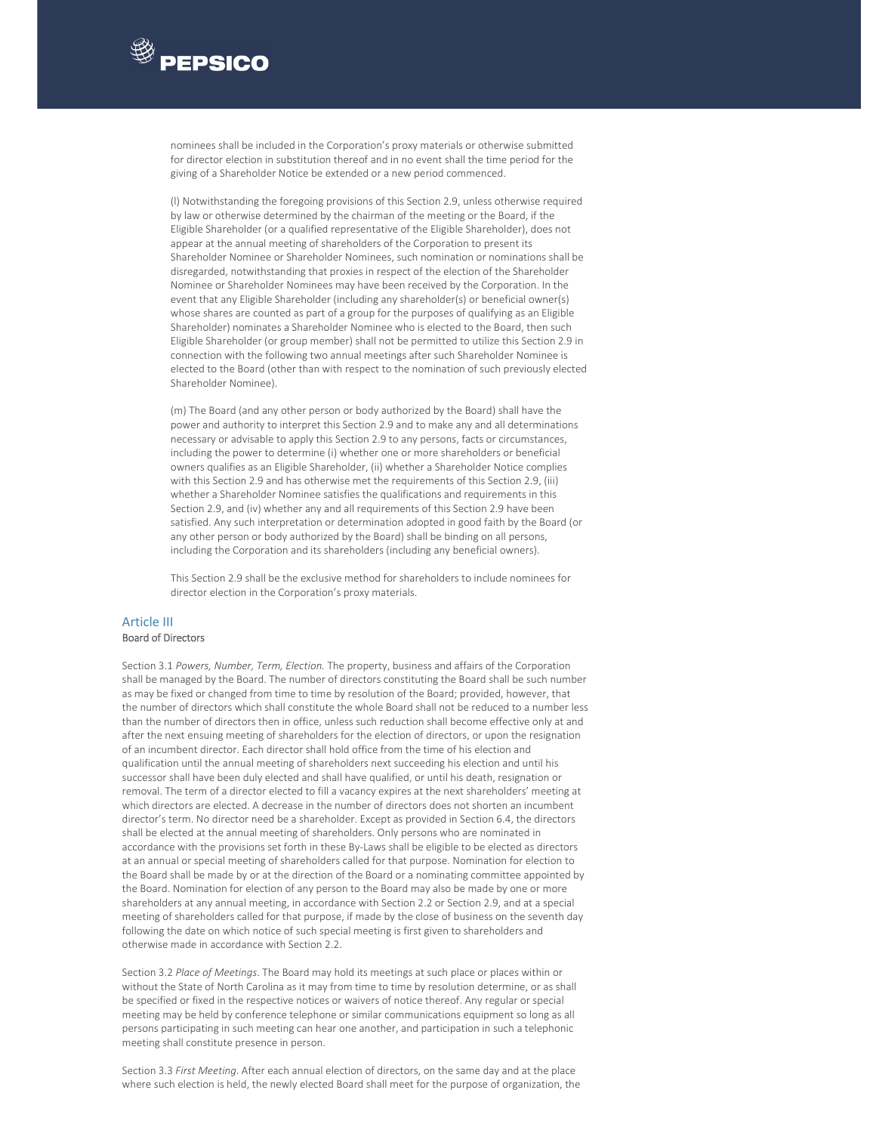

nominees shall be included in the Corporation's proxy materials or otherwise submitted for director election in substitution thereof and in no event shall the time period for the giving of a Shareholder Notice be extended or a new period commenced.

(l) Notwithstanding the foregoing provisions of this Section 2.9, unless otherwise required by law or otherwise determined by the chairman of the meeting or the Board, if the Eligible Shareholder (or a qualified representative of the Eligible Shareholder), does not appear at the annual meeting of shareholders of the Corporation to present its Shareholder Nominee or Shareholder Nominees, such nomination or nominations shall be disregarded, notwithstanding that proxies in respect of the election of the Shareholder Nominee or Shareholder Nominees may have been received by the Corporation. In the event that any Eligible Shareholder (including any shareholder(s) or beneficial owner(s) whose shares are counted as part of a group for the purposes of qualifying as an Eligible Shareholder) nominates a Shareholder Nominee who is elected to the Board, then such Eligible Shareholder (or group member) shall not be permitted to utilize this Section 2.9 in connection with the following two annual meetings after such Shareholder Nominee is elected to the Board (other than with respect to the nomination of such previously elected Shareholder Nominee).

(m) The Board (and any other person or body authorized by the Board) shall have the power and authority to interpret this Section 2.9 and to make any and all determinations necessary or advisable to apply this Section 2.9 to any persons, facts or circumstances, including the power to determine (i) whether one or more shareholders or beneficial owners qualifies as an Eligible Shareholder, (ii) whether a Shareholder Notice complies with this Section 2.9 and has otherwise met the requirements of this Section 2.9, (iii) whether a Shareholder Nominee satisfies the qualifications and requirements in this Section 2.9, and (iv) whether any and all requirements of this Section 2.9 have been satisfied. Any such interpretation or determination adopted in good faith by the Board (or any other person or body authorized by the Board) shall be binding on all persons, including the Corporation and its shareholders (including any beneficial owners).

This Section 2.9 shall be the exclusive method for shareholders to include nominees for director election in the Corporation's proxy materials.

#### Article III Board of Directors

Section 3.1 *Powers, Number, Term, Election.* The property, business and affairs of the Corporation shall be managed by the Board. The number of directors constituting the Board shall be such number as may be fixed or changed from time to time by resolution of the Board; provided, however, that the number of directors which shall constitute the whole Board shall not be reduced to a number less than the number of directors then in office, unless such reduction shall become effective only at and after the next ensuing meeting of shareholders for the election of directors, or upon the resignation of an incumbent director. Each director shall hold office from the time of his election and qualification until the annual meeting of shareholders next succeeding his election and until his successor shall have been duly elected and shall have qualified, or until his death, resignation or removal. The term of a director elected to fill a vacancy expires at the next shareholders' meeting at which directors are elected. A decrease in the number of directors does not shorten an incumbent director's term. No director need be a shareholder. Except as provided in Section 6.4, the directors shall be elected at the annual meeting of shareholders. Only persons who are nominated in accordance with the provisions set forth in these By‐Laws shall be eligible to be elected as directors at an annual or special meeting of shareholders called for that purpose. Nomination for election to the Board shall be made by or at the direction of the Board or a nominating committee appointed by the Board. Nomination for election of any person to the Board may also be made by one or more shareholders at any annual meeting, in accordance with Section 2.2 or Section 2.9, and at a special meeting of shareholders called for that purpose, if made by the close of business on the seventh day following the date on which notice of such special meeting is first given to shareholders and otherwise made in accordance with Section 2.2.

Section 3.2 *Place of Meetings*. The Board may hold its meetings at such place or places within or without the State of North Carolina as it may from time to time by resolution determine, or as shall be specified or fixed in the respective notices or waivers of notice thereof. Any regular or special meeting may be held by conference telephone or similar communications equipment so long as all persons participating in such meeting can hear one another, and participation in such a telephonic meeting shall constitute presence in person.

Section 3.3 *First Meeting*. After each annual election of directors, on the same day and at the place where such election is held, the newly elected Board shall meet for the purpose of organization, the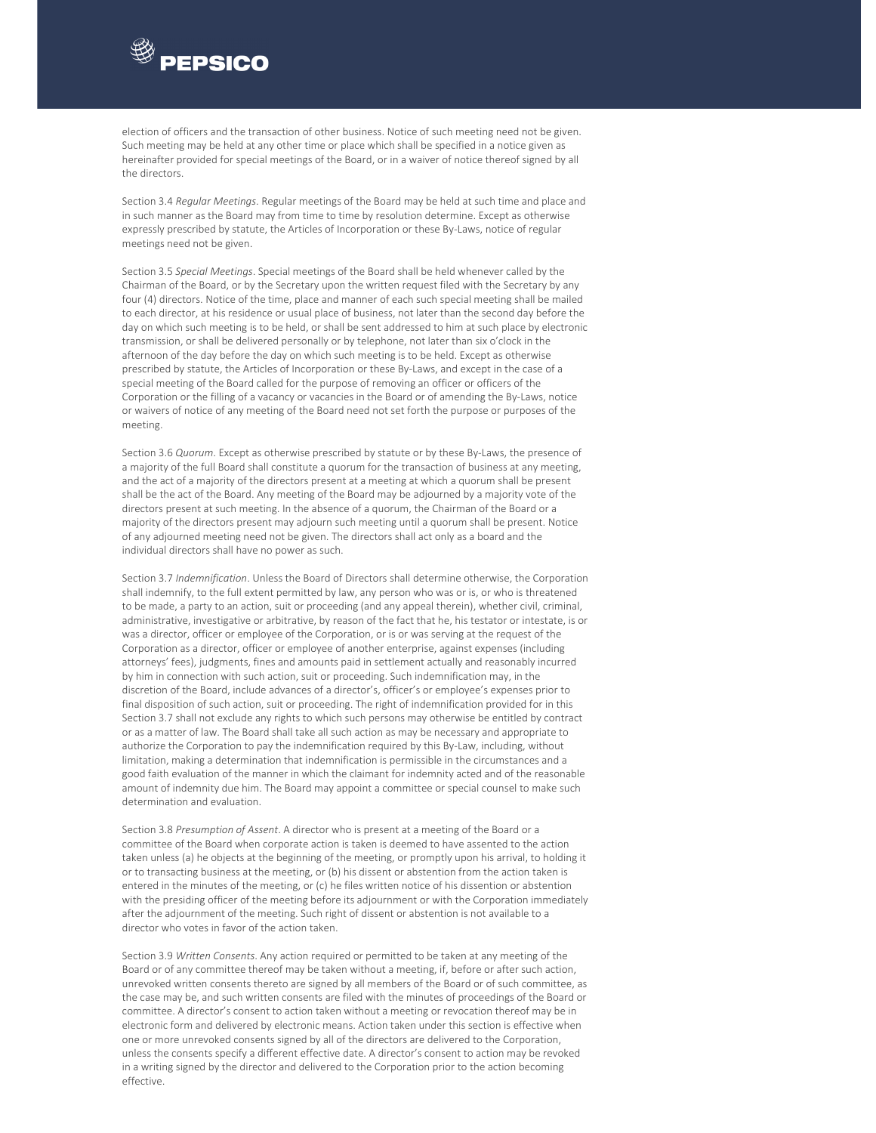

election of officers and the transaction of other business. Notice of such meeting need not be given. Such meeting may be held at any other time or place which shall be specified in a notice given as hereinafter provided for special meetings of the Board, or in a waiver of notice thereof signed by all the directors.

Section 3.4 *Regular Meetings*. Regular meetings of the Board may be held at such time and place and in such manner as the Board may from time to time by resolution determine. Except as otherwise expressly prescribed by statute, the Articles of Incorporation or these By-Laws, notice of regular meetings need not be given.

Section 3.5 *Special Meetings*. Special meetings of the Board shall be held whenever called by the Chairman of the Board, or by the Secretary upon the written request filed with the Secretary by any four (4) directors. Notice of the time, place and manner of each such special meeting shall be mailed to each director, at his residence or usual place of business, not later than the second day before the day on which such meeting is to be held, or shall be sent addressed to him at such place by electronic transmission, or shall be delivered personally or by telephone, not later than six o'clock in the afternoon of the day before the day on which such meeting is to be held. Except as otherwise prescribed by statute, the Articles of Incorporation or these By‐Laws, and except in the case of a special meeting of the Board called for the purpose of removing an officer or officers of the Corporation or the filling of a vacancy or vacancies in the Board or of amending the By‐Laws, notice or waivers of notice of any meeting of the Board need not set forth the purpose or purposes of the meeting.

Section 3.6 *Quorum*. Except as otherwise prescribed by statute or by these By‐Laws, the presence of a majority of the full Board shall constitute a quorum for the transaction of business at any meeting, and the act of a majority of the directors present at a meeting at which a quorum shall be present shall be the act of the Board. Any meeting of the Board may be adjourned by a majority vote of the directors present at such meeting. In the absence of a quorum, the Chairman of the Board or a majority of the directors present may adjourn such meeting until a quorum shall be present. Notice of any adjourned meeting need not be given. The directors shall act only as a board and the individual directors shall have no power as such.

Section 3.7 *Indemnification*. Unless the Board of Directors shall determine otherwise, the Corporation shall indemnify, to the full extent permitted by law, any person who was or is, or who is threatened to be made, a party to an action, suit or proceeding (and any appeal therein), whether civil, criminal, administrative, investigative or arbitrative, by reason of the fact that he, his testator or intestate, is or was a director, officer or employee of the Corporation, or is or was serving at the request of the Corporation as a director, officer or employee of another enterprise, against expenses (including attorneys' fees), judgments, fines and amounts paid in settlement actually and reasonably incurred by him in connection with such action, suit or proceeding. Such indemnification may, in the discretion of the Board, include advances of a director's, officer's or employee's expenses prior to final disposition of such action, suit or proceeding. The right of indemnification provided for in this Section 3.7 shall not exclude any rights to which such persons may otherwise be entitled by contract or as a matter of law. The Board shall take all such action as may be necessary and appropriate to authorize the Corporation to pay the indemnification required by this By‐Law, including, without limitation, making a determination that indemnification is permissible in the circumstances and a good faith evaluation of the manner in which the claimant for indemnity acted and of the reasonable amount of indemnity due him. The Board may appoint a committee or special counsel to make such determination and evaluation.

Section 3.8 *Presumption of Assent*. A director who is present at a meeting of the Board or a committee of the Board when corporate action is taken is deemed to have assented to the action taken unless (a) he objects at the beginning of the meeting, or promptly upon his arrival, to holding it or to transacting business at the meeting, or (b) his dissent or abstention from the action taken is entered in the minutes of the meeting, or (c) he files written notice of his dissention or abstention with the presiding officer of the meeting before its adjournment or with the Corporation immediately after the adjournment of the meeting. Such right of dissent or abstention is not available to a director who votes in favor of the action taken.

Section 3.9 *Written Consents*. Any action required or permitted to be taken at any meeting of the Board or of any committee thereof may be taken without a meeting, if, before or after such action, unrevoked written consents thereto are signed by all members of the Board or of such committee, as the case may be, and such written consents are filed with the minutes of proceedings of the Board or committee. A director's consent to action taken without a meeting or revocation thereof may be in electronic form and delivered by electronic means. Action taken under this section is effective when one or more unrevoked consents signed by all of the directors are delivered to the Corporation, unless the consents specify a different effective date. A director's consent to action may be revoked in a writing signed by the director and delivered to the Corporation prior to the action becoming effective.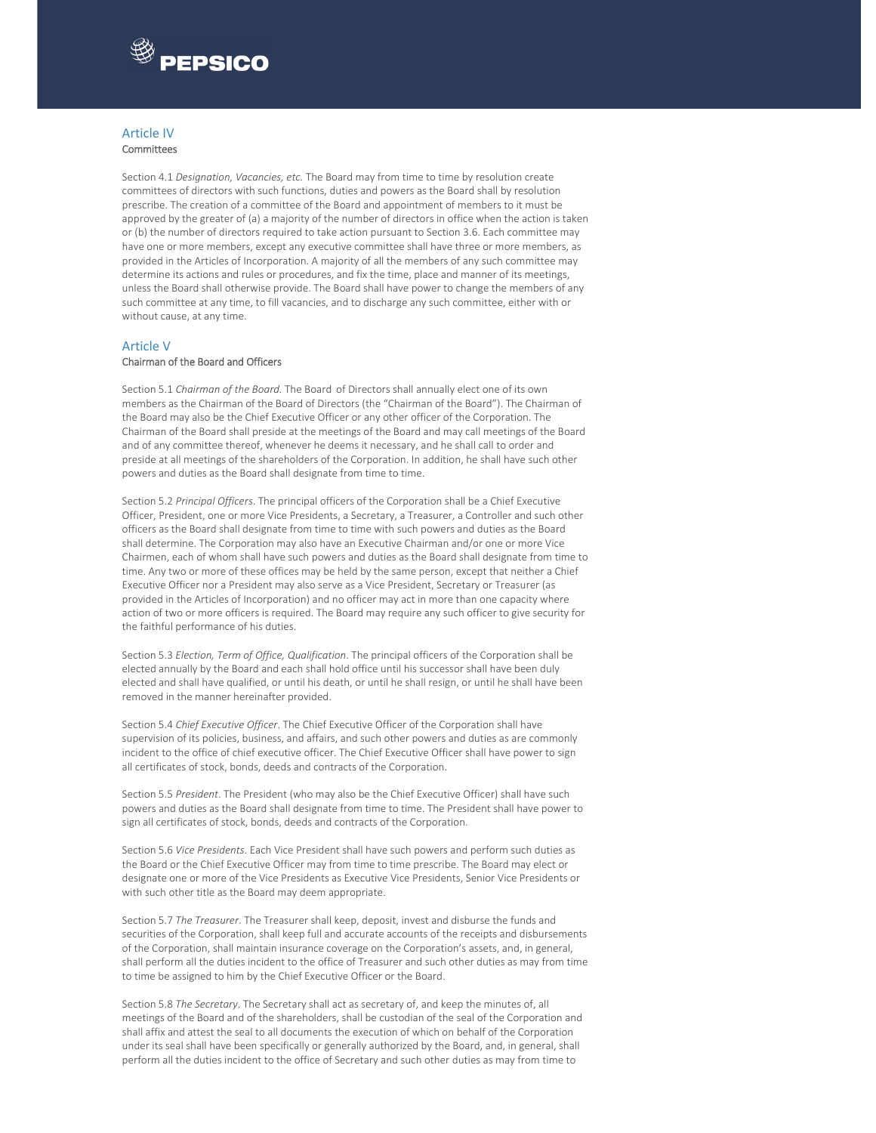

#### Article IV Committees

Section 4.1 *Designation, Vacancies, etc.* The Board may from time to time by resolution create committees of directors with such functions, duties and powers as the Board shall by resolution prescribe. The creation of a committee of the Board and appointment of members to it must be approved by the greater of (a) a majority of the number of directors in office when the action is taken or (b) the number of directors required to take action pursuant to Section 3.6. Each committee may have one or more members, except any executive committee shall have three or more members, as provided in the Articles of Incorporation. A majority of all the members of any such committee may determine its actions and rules or procedures, and fix the time, place and manner of its meetings, unless the Board shall otherwise provide. The Board shall have power to change the members of any such committee at any time, to fill vacancies, and to discharge any such committee, either with or without cause, at any time.

#### Article V

#### Chairman of the Board and Officers

Section 5.1 *Chairman of the Board.* The Board of Directors shall annually elect one of its own members as the Chairman of the Board of Directors (the "Chairman of the Board"). The Chairman of the Board may also be the Chief Executive Officer or any other officer of the Corporation. The Chairman of the Board shall preside at the meetings of the Board and may call meetings of the Board and of any committee thereof, whenever he deems it necessary, and he shall call to order and preside at all meetings of the shareholders of the Corporation. In addition, he shall have such other powers and duties as the Board shall designate from time to time.

Section 5.2 *Principal Officers*. The principal officers of the Corporation shall be a Chief Executive Officer, President, one or more Vice Presidents, a Secretary, a Treasurer, a Controller and such other officers as the Board shall designate from time to time with such powers and duties as the Board shall determine. The Corporation may also have an Executive Chairman and/or one or more Vice Chairmen, each of whom shall have such powers and duties as the Board shall designate from time to time. Any two or more of these offices may be held by the same person, except that neither a Chief Executive Officer nor a President may also serve as a Vice President, Secretary or Treasurer (as provided in the Articles of Incorporation) and no officer may act in more than one capacity where action of two or more officers is required. The Board may require any such officer to give security for the faithful performance of his duties.

Section 5.3 *Election, Term of Office, Qualification*. The principal officers of the Corporation shall be elected annually by the Board and each shall hold office until his successor shall have been duly elected and shall have qualified, or until his death, or until he shall resign, or until he shall have been removed in the manner hereinafter provided.

Section 5.4 *Chief Executive Officer*. The Chief Executive Officer of the Corporation shall have supervision of its policies, business, and affairs, and such other powers and duties as are commonly incident to the office of chief executive officer. The Chief Executive Officer shall have power to sign all certificates of stock, bonds, deeds and contracts of the Corporation.

Section 5.5 *President*. The President (who may also be the Chief Executive Officer) shall have such powers and duties as the Board shall designate from time to time. The President shall have power to sign all certificates of stock, bonds, deeds and contracts of the Corporation.

Section 5.6 *Vice Presidents*. Each Vice President shall have such powers and perform such duties as the Board or the Chief Executive Officer may from time to time prescribe. The Board may elect or designate one or more of the Vice Presidents as Executive Vice Presidents, Senior Vice Presidents or with such other title as the Board may deem appropriate.

Section 5.7 *The Treasurer*. The Treasurer shall keep, deposit, invest and disburse the funds and securities of the Corporation, shall keep full and accurate accounts of the receipts and disbursements of the Corporation, shall maintain insurance coverage on the Corporation's assets, and, in general, shall perform all the duties incident to the office of Treasurer and such other duties as may from time to time be assigned to him by the Chief Executive Officer or the Board.

Section 5.8 *The Secretary*. The Secretary shall act as secretary of, and keep the minutes of, all meetings of the Board and of the shareholders, shall be custodian of the seal of the Corporation and shall affix and attest the seal to all documents the execution of which on behalf of the Corporation under its seal shall have been specifically or generally authorized by the Board, and, in general, shall perform all the duties incident to the office of Secretary and such other duties as may from time to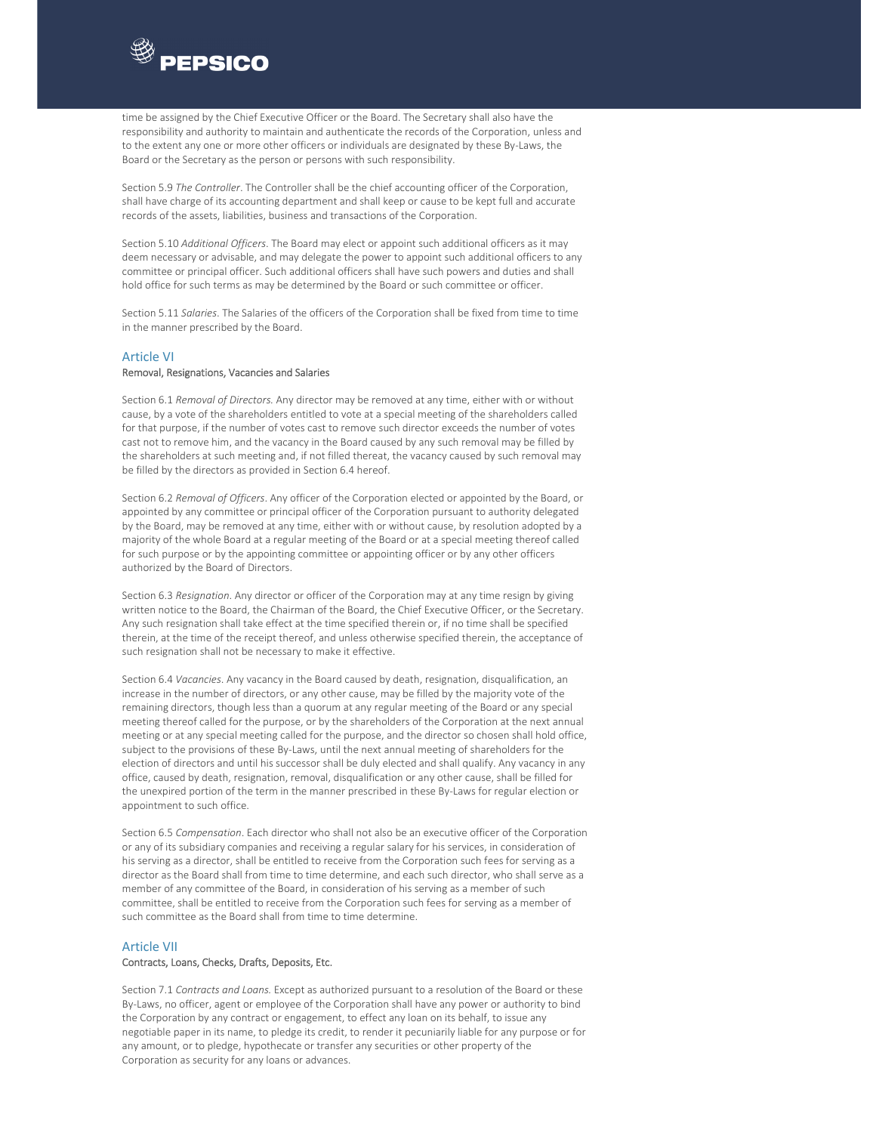

time be assigned by the Chief Executive Officer or the Board. The Secretary shall also have the responsibility and authority to maintain and authenticate the records of the Corporation, unless and to the extent any one or more other officers or individuals are designated by these By‐Laws, the Board or the Secretary as the person or persons with such responsibility.

Section 5.9 *The Controller*. The Controller shall be the chief accounting officer of the Corporation, shall have charge of its accounting department and shall keep or cause to be kept full and accurate records of the assets, liabilities, business and transactions of the Corporation.

Section 5.10 *Additional Officers*. The Board may elect or appoint such additional officers as it may deem necessary or advisable, and may delegate the power to appoint such additional officers to any committee or principal officer. Such additional officers shall have such powers and duties and shall hold office for such terms as may be determined by the Board or such committee or officer.

Section 5.11 *Salaries*. The Salaries of the officers of the Corporation shall be fixed from time to time in the manner prescribed by the Board.

#### Article VI

#### Removal, Resignations, Vacancies and Salaries

Section 6.1 *Removal of Directors.* Any director may be removed at any time, either with or without cause, by a vote of the shareholders entitled to vote at a special meeting of the shareholders called for that purpose, if the number of votes cast to remove such director exceeds the number of votes cast not to remove him, and the vacancy in the Board caused by any such removal may be filled by the shareholders at such meeting and, if not filled thereat, the vacancy caused by such removal may be filled by the directors as provided in Section 6.4 hereof.

Section 6.2 *Removal of Officers*. Any officer of the Corporation elected or appointed by the Board, or appointed by any committee or principal officer of the Corporation pursuant to authority delegated by the Board, may be removed at any time, either with or without cause, by resolution adopted by a majority of the whole Board at a regular meeting of the Board or at a special meeting thereof called for such purpose or by the appointing committee or appointing officer or by any other officers authorized by the Board of Directors.

Section 6.3 *Resignation*. Any director or officer of the Corporation may at any time resign by giving written notice to the Board, the Chairman of the Board, the Chief Executive Officer, or the Secretary. Any such resignation shall take effect at the time specified therein or, if no time shall be specified therein, at the time of the receipt thereof, and unless otherwise specified therein, the acceptance of such resignation shall not be necessary to make it effective.

Section 6.4 *Vacancies*. Any vacancy in the Board caused by death, resignation, disqualification, an increase in the number of directors, or any other cause, may be filled by the majority vote of the remaining directors, though less than a quorum at any regular meeting of the Board or any special meeting thereof called for the purpose, or by the shareholders of the Corporation at the next annual meeting or at any special meeting called for the purpose, and the director so chosen shall hold office, subject to the provisions of these By-Laws, until the next annual meeting of shareholders for the election of directors and until his successor shall be duly elected and shall qualify. Any vacancy in any office, caused by death, resignation, removal, disqualification or any other cause, shall be filled for the unexpired portion of the term in the manner prescribed in these By‐Laws for regular election or appointment to such office.

Section 6.5 *Compensation*. Each director who shall not also be an executive officer of the Corporation or any of its subsidiary companies and receiving a regular salary for his services, in consideration of his serving as a director, shall be entitled to receive from the Corporation such fees for serving as a director as the Board shall from time to time determine, and each such director, who shall serve as a member of any committee of the Board, in consideration of his serving as a member of such committee, shall be entitled to receive from the Corporation such fees for serving as a member of such committee as the Board shall from time to time determine.

#### Article VII

#### Contracts, Loans, Checks, Drafts, Deposits, Etc.

Section 7.1 *Contracts and Loans.* Except as authorized pursuant to a resolution of the Board or these By-Laws, no officer, agent or employee of the Corporation shall have any power or authority to bind the Corporation by any contract or engagement, to effect any loan on its behalf, to issue any negotiable paper in its name, to pledge its credit, to render it pecuniarily liable for any purpose or for any amount, or to pledge, hypothecate or transfer any securities or other property of the Corporation as security for any loans or advances.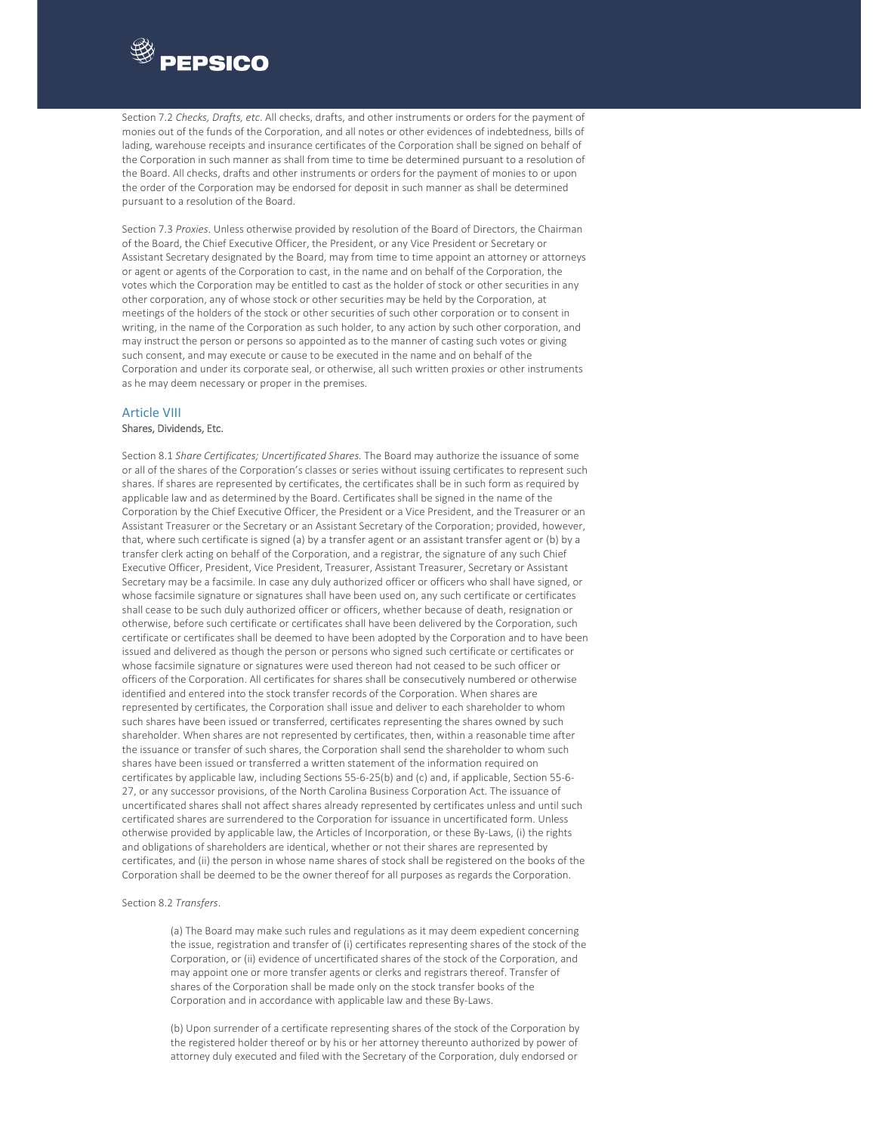

Section 7.2 *Checks, Drafts, etc*. All checks, drafts, and other instruments or orders for the payment of monies out of the funds of the Corporation, and all notes or other evidences of indebtedness, bills of lading, warehouse receipts and insurance certificates of the Corporation shall be signed on behalf of the Corporation in such manner as shall from time to time be determined pursuant to a resolution of the Board. All checks, drafts and other instruments or orders for the payment of monies to or upon the order of the Corporation may be endorsed for deposit in such manner as shall be determined pursuant to a resolution of the Board.

Section 7.3 *Proxies*. Unless otherwise provided by resolution of the Board of Directors, the Chairman of the Board, the Chief Executive Officer, the President, or any Vice President or Secretary or Assistant Secretary designated by the Board, may from time to time appoint an attorney or attorneys or agent or agents of the Corporation to cast, in the name and on behalf of the Corporation, the votes which the Corporation may be entitled to cast as the holder of stock or other securities in any other corporation, any of whose stock or other securities may be held by the Corporation, at meetings of the holders of the stock or other securities of such other corporation or to consent in writing, in the name of the Corporation as such holder, to any action by such other corporation, and may instruct the person or persons so appointed as to the manner of casting such votes or giving such consent, and may execute or cause to be executed in the name and on behalf of the Corporation and under its corporate seal, or otherwise, all such written proxies or other instruments as he may deem necessary or proper in the premises.

#### Article VIII Shares, Dividends, Etc.

Section 8.1 *Share Certificates; Uncertificated Shares.* The Board may authorize the issuance of some or all of the shares of the Corporation's classes or series without issuing certificates to represent such shares. If shares are represented by certificates, the certificates shall be in such form as required by applicable law and as determined by the Board. Certificates shall be signed in the name of the Corporation by the Chief Executive Officer, the President or a Vice President, and the Treasurer or an Assistant Treasurer or the Secretary or an Assistant Secretary of the Corporation; provided, however, that, where such certificate is signed (a) by a transfer agent or an assistant transfer agent or (b) by a transfer clerk acting on behalf of the Corporation, and a registrar, the signature of any such Chief Executive Officer, President, Vice President, Treasurer, Assistant Treasurer, Secretary or Assistant Secretary may be a facsimile. In case any duly authorized officer or officers who shall have signed, or whose facsimile signature or signatures shall have been used on, any such certificate or certificates shall cease to be such duly authorized officer or officers, whether because of death, resignation or otherwise, before such certificate or certificates shall have been delivered by the Corporation, such certificate or certificates shall be deemed to have been adopted by the Corporation and to have been issued and delivered as though the person or persons who signed such certificate or certificates or whose facsimile signature or signatures were used thereon had not ceased to be such officer or officers of the Corporation. All certificates for shares shall be consecutively numbered or otherwise identified and entered into the stock transfer records of the Corporation. When shares are represented by certificates, the Corporation shall issue and deliver to each shareholder to whom such shares have been issued or transferred, certificates representing the shares owned by such shareholder. When shares are not represented by certificates, then, within a reasonable time after the issuance or transfer of such shares, the Corporation shall send the shareholder to whom such shares have been issued or transferred a written statement of the information required on certificates by applicable law, including Sections 55‐6‐25(b) and (c) and, if applicable, Section 55‐6‐ 27, or any successor provisions, of the North Carolina Business Corporation Act. The issuance of uncertificated shares shall not affect shares already represented by certificates unless and until such certificated shares are surrendered to the Corporation for issuance in uncertificated form. Unless otherwise provided by applicable law, the Articles of Incorporation, or these By‐Laws, (i) the rights and obligations of shareholders are identical, whether or not their shares are represented by certificates, and (ii) the person in whose name shares of stock shall be registered on the books of the Corporation shall be deemed to be the owner thereof for all purposes as regards the Corporation.

#### Section 8.2 *Transfers*.

(a) The Board may make such rules and regulations as it may deem expedient concerning the issue, registration and transfer of (i) certificates representing shares of the stock of the Corporation, or (ii) evidence of uncertificated shares of the stock of the Corporation, and may appoint one or more transfer agents or clerks and registrars thereof. Transfer of shares of the Corporation shall be made only on the stock transfer books of the Corporation and in accordance with applicable law and these By‐Laws.

(b) Upon surrender of a certificate representing shares of the stock of the Corporation by the registered holder thereof or by his or her attorney thereunto authorized by power of attorney duly executed and filed with the Secretary of the Corporation, duly endorsed or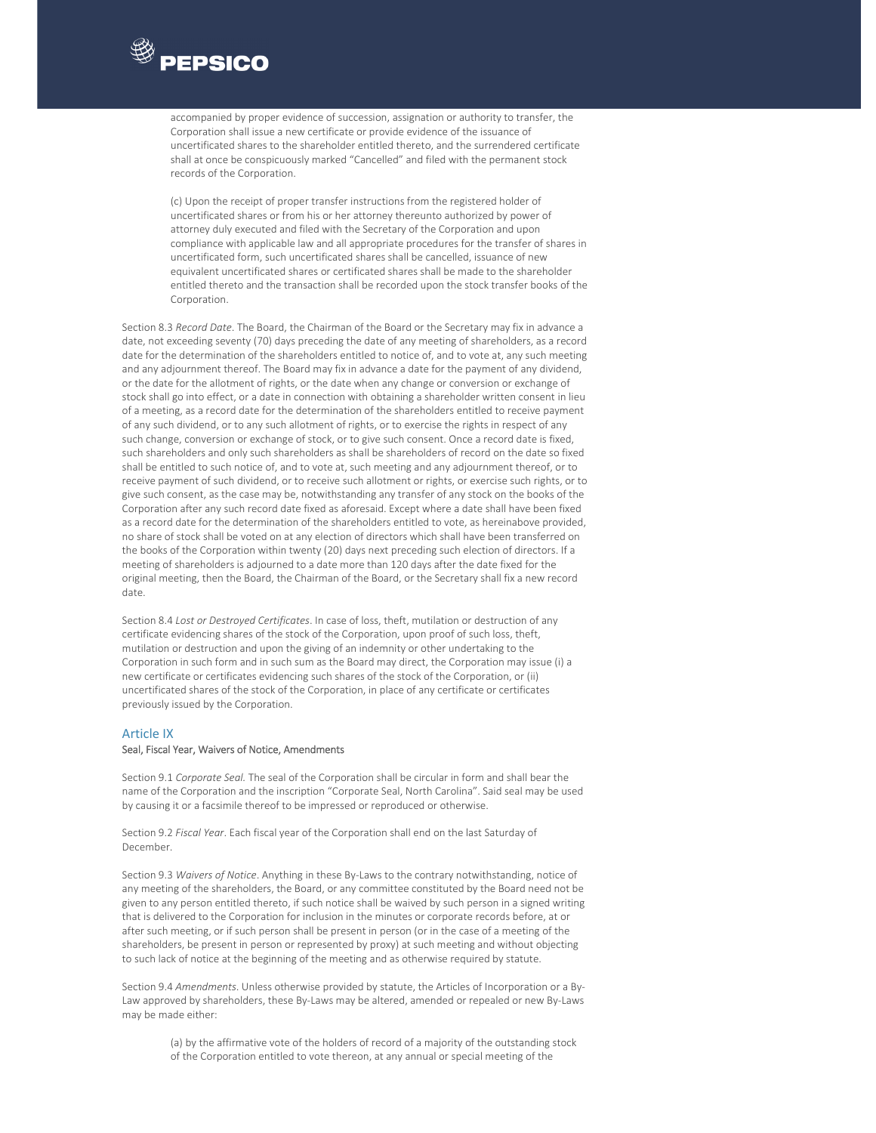

accompanied by proper evidence of succession, assignation or authority to transfer, the Corporation shall issue a new certificate or provide evidence of the issuance of uncertificated shares to the shareholder entitled thereto, and the surrendered certificate shall at once be conspicuously marked "Cancelled" and filed with the permanent stock records of the Corporation.

(c) Upon the receipt of proper transfer instructions from the registered holder of uncertificated shares or from his or her attorney thereunto authorized by power of attorney duly executed and filed with the Secretary of the Corporation and upon compliance with applicable law and all appropriate procedures for the transfer of shares in uncertificated form, such uncertificated shares shall be cancelled, issuance of new equivalent uncertificated shares or certificated shares shall be made to the shareholder entitled thereto and the transaction shall be recorded upon the stock transfer books of the Corporation.

Section 8.3 *Record Date*. The Board, the Chairman of the Board or the Secretary may fix in advance a date, not exceeding seventy (70) days preceding the date of any meeting of shareholders, as a record date for the determination of the shareholders entitled to notice of, and to vote at, any such meeting and any adjournment thereof. The Board may fix in advance a date for the payment of any dividend, or the date for the allotment of rights, or the date when any change or conversion or exchange of stock shall go into effect, or a date in connection with obtaining a shareholder written consent in lieu of a meeting, as a record date for the determination of the shareholders entitled to receive payment of any such dividend, or to any such allotment of rights, or to exercise the rights in respect of any such change, conversion or exchange of stock, or to give such consent. Once a record date is fixed, such shareholders and only such shareholders as shall be shareholders of record on the date so fixed shall be entitled to such notice of, and to vote at, such meeting and any adjournment thereof, or to receive payment of such dividend, or to receive such allotment or rights, or exercise such rights, or to give such consent, as the case may be, notwithstanding any transfer of any stock on the books of the Corporation after any such record date fixed as aforesaid. Except where a date shall have been fixed as a record date for the determination of the shareholders entitled to vote, as hereinabove provided, no share of stock shall be voted on at any election of directors which shall have been transferred on the books of the Corporation within twenty (20) days next preceding such election of directors. If a meeting of shareholders is adjourned to a date more than 120 days after the date fixed for the original meeting, then the Board, the Chairman of the Board, or the Secretary shall fix a new record date.

Section 8.4 *Lost or Destroyed Certificates*. In case of loss, theft, mutilation or destruction of any certificate evidencing shares of the stock of the Corporation, upon proof of such loss, theft, mutilation or destruction and upon the giving of an indemnity or other undertaking to the Corporation in such form and in such sum as the Board may direct, the Corporation may issue (i) a new certificate or certificates evidencing such shares of the stock of the Corporation, or (ii) uncertificated shares of the stock of the Corporation, in place of any certificate or certificates previously issued by the Corporation.

#### Article IX

#### Seal, Fiscal Year, Waivers of Notice, Amendments

Section 9.1 *Corporate Seal.* The seal of the Corporation shall be circular in form and shall bear the name of the Corporation and the inscription "Corporate Seal, North Carolina". Said seal may be used by causing it or a facsimile thereof to be impressed or reproduced or otherwise.

Section 9.2 *Fiscal Year*. Each fiscal year of the Corporation shall end on the last Saturday of December.

Section 9.3 *Waivers of Notice*. Anything in these By‐Laws to the contrary notwithstanding, notice of any meeting of the shareholders, the Board, or any committee constituted by the Board need not be given to any person entitled thereto, if such notice shall be waived by such person in a signed writing that is delivered to the Corporation for inclusion in the minutes or corporate records before, at or after such meeting, or if such person shall be present in person (or in the case of a meeting of the shareholders, be present in person or represented by proxy) at such meeting and without objecting to such lack of notice at the beginning of the meeting and as otherwise required by statute.

Section 9.4 *Amendments*. Unless otherwise provided by statute, the Articles of Incorporation or a By‐ Law approved by shareholders, these By‐Laws may be altered, amended or repealed or new By‐Laws may be made either:

(a) by the affirmative vote of the holders of record of a majority of the outstanding stock of the Corporation entitled to vote thereon, at any annual or special meeting of the